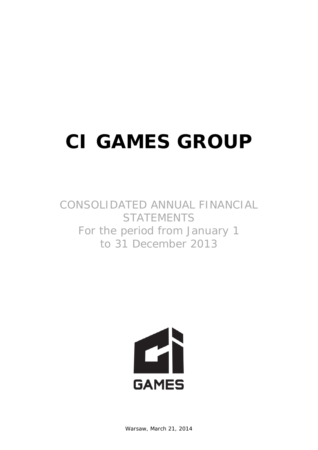# **CI GAMES GROUP**

## CONSOLIDATED ANNUAL FINANCIAL **STATEMENTS** For the period from January 1 to 31 December 2013

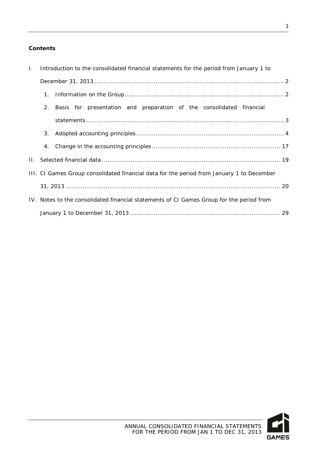### **Contents**

| $\mathbf{L}$ | Introduction to the consolidated financial statements for the period from January 1 to |                                                                                           |  |  |  |
|--------------|----------------------------------------------------------------------------------------|-------------------------------------------------------------------------------------------|--|--|--|
|              |                                                                                        |                                                                                           |  |  |  |
|              | $1_{\cdot}$                                                                            |                                                                                           |  |  |  |
|              | 2.                                                                                     | Basis for presentation and preparation of the consolidated financial                      |  |  |  |
|              |                                                                                        |                                                                                           |  |  |  |
|              | 3.                                                                                     |                                                                                           |  |  |  |
|              | 4.                                                                                     |                                                                                           |  |  |  |
|              |                                                                                        |                                                                                           |  |  |  |
|              |                                                                                        | III. CI Games Group consolidated financial data for the period from January 1 to December |  |  |  |
|              |                                                                                        |                                                                                           |  |  |  |
|              |                                                                                        | IV. Notes to the consolidated financial statements of CI Games Group for the period from  |  |  |  |
|              |                                                                                        |                                                                                           |  |  |  |

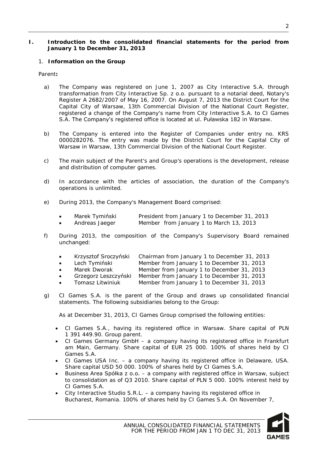#### <span id="page-2-0"></span>**I. Introduction to the consolidated financial statements for the period from January 1 to December 31, 2013**

#### <span id="page-2-1"></span>1. **Information on the Group**

Parent**:**

- a) The Company was registered on June 1, 2007 as City Interactive S.A. through transformation from City Interactive Sp. z o.o. pursuant to a notarial deed, Notary's Register A 2682/2007 of May 16, 2007. On August 7, 2013 the District Court for the Capital City of Warsaw, 13th Commercial Division of the National Court Register, registered a change of the Company's name from City Interactive S.A. to CI Games S.A. The Company's registered office is located at ul. Puławska 182 in Warsaw.
- b) The Company is entered into the Register of Companies under entry no. KRS 0000282076. The entry was made by the District Court for the Capital City of Warsaw in Warsaw, 13th Commercial Division of the National Court Register.
- c) The main subject of the Parent's and Group's operations is the development, release and distribution of computer games.
- d) In accordance with the articles of association, the duration of the Company's operations is unlimited.
- e) During 2013, the Company's Management Board comprised:

|  | Marek Tymiński | President from January 1 to December 31, 2013 |  |
|--|----------------|-----------------------------------------------|--|
|--|----------------|-----------------------------------------------|--|

- Andreas Jaeger Member from January 1 to March 13, 2013
- f) During 2013, the composition of the Company's Supervisory Board remained unchanged:
	- Krzysztof Sroczyński Chairman from January 1 to December 31, 2013
	- Lech Tymiński Member from January 1 to December 31, 2013
	- Marek Dworak Member from January 1 to December 31, 2013
	- Grzegorz Leszczyński Member from January 1 to December 31, 2013
	- Tomasz Litwiniuk Member from January 1 to December 31, 2013
- g) CI Games S.A. is the parent of the Group and draws up consolidated financial statements. The following subsidiaries belong to the Group:

As at December 31, 2013, CI Games Group comprised the following entities:

- CI Games S.A., having its registered office in Warsaw. Share capital of PLN 1 391 449.90. Group parent.
- CI Games Germany GmbH a company having its registered office in Frankfurt am Main, Germany. Share capital of EUR 25 000. 100% of shares held by CI Games S.A.
- CI Games USA Inc. a company having its registered office in Delaware, USA. Share capital USD 50 000. 100% of shares held by CI Games S.A.
- Business Area Spółka z o.o. a company with registered office in Warsaw, subject to consolidation as of Q3 2010. Share capital of PLN 5 000. 100% interest held by CI Games S.A.
- City Interactive Studio S.R.L. a company having its registered office in Bucharest, Romania. 100% of shares held by CI Games S.A. On November 7,

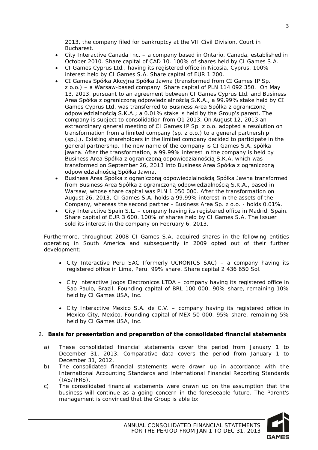2013, the company filed for bankruptcy at the VII Civil Division, Court in Bucharest.

- City Interactive Canada Inc. a company based in Ontario, Canada, established in October 2010. Share capital of CAD 10. 100% of shares held by CI Games S.A.
- CI Games Cyprus Ltd., having its registered office in Nicosia, Cyprus. 100% interest held by CI Games S.A. Share capital of EUR 1 200.
- CI Games Spółka Akcyjna Spółka Jawna (transformed from CI Games IP Sp. z o.o.) – a Warsaw-based company. Share capital of PLN 114 092 350. On May 13, 2013, pursuant to an agreement between CI Games Cyprus Ltd. and Business Area Spółka z ograniczoną odpowiedzialnością S.K.A., a 99.99% stake held by CI Games Cyprus Ltd. was transferred to Business Area Spółka z ograniczoną odpowiedzialnością S.K.A.; a 0.01% stake is held by the Group's parent. The company is subject to consolidation from Q1 2013. On August 12, 2013 an extraordinary general meeting of CI Games IP Sp. z o.o. adopted a resolution on transformation from a limited company (sp. z o.o.) to a general partnership (sp.j.). Existing shareholders in the limited company decided to participate in the general partnership. The new name of the company is CI Games S.A. spółka jawna. After the transformation, a 99.99% interest in the company is held by Business Area Spółka z ograniczoną odpowiedzialnością S.K.A. which was transformed on September 26, 2013 into Business Area Spółka z ograniczoną odpowiedzialnością Spółka Jawna.
- Business Area Spółka z ograniczoną odpowiedzialnością Spółka Jawna transformed from Business Area Spółka z ograniczoną odpowiedzialnością S.K.A., based in Warsaw, whose share capital was PLN 1 050 000. After the transformation on August 26, 2013, CI Games S.A. holds a 99.99% interest in the assets of the Company, whereas the second partner - Business Area Sp. z o.o. - holds 0.01%.
- City Interactive Spain S.L. company having its registered office in Madrid, Spain. Share capital of EUR 3 600. 100% of shares held by CI Games S.A. The Issuer sold its interest in the company on February 6, 2013.

Furthermore, throughout 2008 CI Games S.A. acquired shares in the following entities operating in South America and subsequently in 2009 opted out of their further development:

- City Interactive Peru SAC (formerly UCRONICS SAC) a company having its registered office in Lima, Peru. 99% share. Share capital 2 436 650 Sol.
- City Interactive Jogos Electronicos LTDA company having its registered office in Sao Paulo, Brazil. Founding capital of BRL 100 000. 90% share, remaining 10% held by CI Games USA, Inc.
- City Interactive Mexico S.A. de C.V. company having its registered office in Mexico City, Mexico. Founding capital of MEX 50 000. 95% share, remaining 5% held by CI Games USA, Inc.

#### <span id="page-3-0"></span>2. **Basis for presentation and preparation of the consolidated financial statements**

- a) These consolidated financial statements cover the period from January 1 to December 31, 2013. Comparative data covers the period from January 1 to December 31, 2012.
- b) The consolidated financial statements were drawn up in accordance with the International Accounting Standards and International Financial Reporting Standards (IAS/IFRS).
- c) The consolidated financial statements were drawn up on the assumption that the business will continue as a going concern in the foreseeable future. The Parent's management is convinced that the Group is able to:

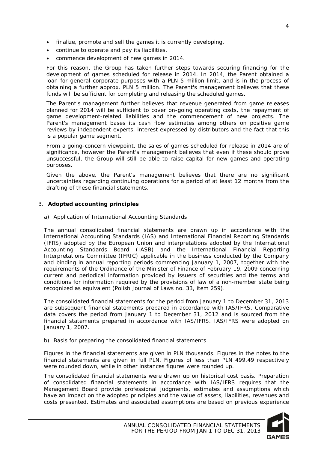- finalize, promote and sell the games it is currently developing,
- continue to operate and pay its liabilities,
- commence development of new games in 2014.

For this reason, the Group has taken further steps towards securing financing for the development of games scheduled for release in 2014. In 2014, the Parent obtained a loan for general corporate purposes with a PLN 5 million limit, and is in the process of obtaining a further approx. PLN 5 million. The Parent's management believes that these funds will be sufficient for completing and releasing the scheduled games.

The Parent's management further believes that revenue generated from game releases planned for 2014 will be sufficient to cover on-going operating costs, the repayment of game development-related liabilities and the commencement of new projects. The Parent's management bases its cash flow estimates among others on positive game reviews by independent experts, interest expressed by distributors and the fact that this is a popular game segment.

From a going-concern viewpoint, the sales of games scheduled for release in 2014 are of significance, however the Parent's management believes that even if these should prove unsuccessful, the Group will still be able to raise capital for new games and operating purposes.

Given the above, the Parent's management believes that there are no significant uncertainties regarding continuing operations for a period of at least 12 months from the drafting of these financial statements.

#### <span id="page-4-0"></span>3. **Adopted accounting principles**

a) Application of International Accounting Standards

The annual consolidated financial statements are drawn up in accordance with the International Accounting Standards (IAS) and International Financial Reporting Standards (IFRS) adopted by the European Union and interpretations adopted by the International Accounting Standards Board (IASB) and the International Financial Reporting Interpretations Committee (IFRIC) applicable in the business conducted by the Company and binding in annual reporting periods commencing January 1, 2007, together with the requirements of the Ordinance of the Minister of Finance of February 19, 2009 concerning current and periodical information provided by issuers of securities and the terms and conditions for information required by the provisions of law of a non-member state being recognized as equivalent (Polish Journal of Laws no. 33, item 259).

The consolidated financial statements for the period from January 1 to December 31, 2013 are subsequent financial statements prepared in accordance with IAS/IFRS. Comparative data covers the period from January 1 to December 31, 2012 and is sourced from the financial statements prepared in accordance with IAS/IFRS. IAS/IFRS were adopted on January 1, 2007.

b) Basis for preparing the consolidated financial statements

Figures in the financial statements are given in PLN thousands. Figures in the notes to the financial statements are given in full PLN. Figures of less than PLN 499.49 respectively were rounded down, while in other instances figures were rounded up.

The consolidated financial statements were drawn up on historical cost basis. Preparation of consolidated financial statements in accordance with IAS/IFRS requires that the Management Board provide professional judgments, estimates and assumptions which have an impact on the adopted principles and the value of assets, liabilities, revenues and costs presented. Estimates and associated assumptions are based on previous experience



4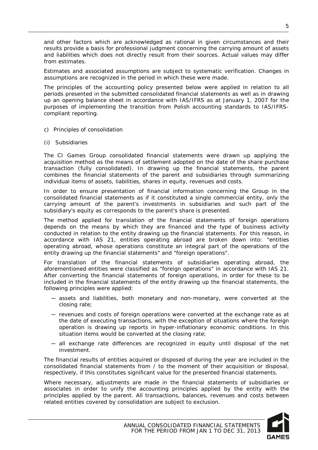and other factors which are acknowledged as rational in given circumstances and their results provide a basis for professional judgment concerning the carrying amount of assets and liabilities which does not directly result from their sources. Actual values may differ from estimates.

Estimates and associated assumptions are subject to systematic verification. Changes in assumptions are recognized in the period in which these were made.

The principles of the accounting policy presented below were applied in relation to all periods presented in the submitted consolidated financial statements as well as in drawing up an opening balance sheet in accordance with IAS/IFRS as at January 1, 2007 for the purposes of implementing the transition from Polish accounting standards to IAS/IFRScompliant reporting.

- c) Principles of consolidation
- (i) Subsidiaries

The CI Games Group consolidated financial statements were drawn up applying the acquisition method as the means of settlement adopted on the date of the share purchase transaction (fully consolidated). In drawing up the financial statements, the parent combines the financial statements of the parent and subsidiaries through summarizing individual items of assets, liabilities, shares in equity, revenues and costs.

In order to ensure presentation of financial information concerning the Group in the consolidated financial statements as if it constituted a single commercial entity, only the carrying amount of the parent's investments in subsidiaries and such part of the subsidiary's equity as corresponds to the parent's share is presented.

The method applied for translation of the financial statements of foreign operations depends on the means by which they are financed and the type of business activity conducted in relation to the entity drawing up the financial statements. For this reason, in accordance with IAS 21, entities operating abroad are broken down into: "entities operating abroad, whose operations constitute an integral part of the operations of the entity drawing up the financial statements" and "foreign operations".

For translation of the financial statements of subsidiaries operating abroad, the aforementioned entities were classified as "foreign operations" in accordance with IAS 21. After converting the financial statements of foreign operations, in order for these to be included in the financial statements of the entity drawing up the financial statements, the following principles were applied:

- ─ assets and liabilities, both monetary and non-monetary, were converted at the closing rate;
- ─ revenues and costs of foreign operations were converted at the exchange rate as at the date of executing transactions, with the exception of situations where the foreign operation is drawing up reports in hyper-inflationary economic conditions. In this situation items would be converted at the closing rate;
- ─ all exchange rate differences are recognized in equity until disposal of the net investment.

The financial results of entities acquired or disposed of during the year are included in the consolidated financial statements from / to the moment of their acquisition or disposal, respectively, if this constitutes significant value for the presented financial statements.

Where necessary, adjustments are made in the financial statements of subsidiaries or associates in order to unify the accounting principles applied by the entity with the principles applied by the parent. All transactions, balances, revenues and costs between related entities covered by consolidation are subject to exclusion.

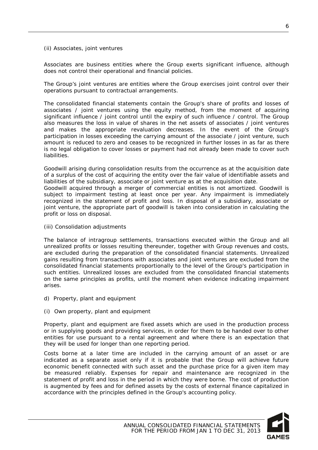#### (ii) Associates, joint ventures

Associates are business entities where the Group exerts significant influence, although does not control their operational and financial policies.

The Group's joint ventures are entities where the Group exercises joint control over their operations pursuant to contractual arrangements.

The consolidated financial statements contain the Group's share of profits and losses of associates / joint ventures using the equity method, from the moment of acquiring significant influence / joint control until the expiry of such influence / control. The Group also measures the loss in value of shares in the net assets of associates / joint ventures and makes the appropriate revaluation decreases. In the event of the Group's participation in losses exceeding the carrying amount of the associate / joint venture, such amount is reduced to zero and ceases to be recognized in further losses in as far as there is no legal obligation to cover losses or payment had not already been made to cover such liabilities.

Goodwill arising during consolidation results from the occurrence as at the acquisition date of a surplus of the cost of acquiring the entity over the fair value of identifiable assets and liabilities of the subsidiary, associate or joint venture as at the acquisition date.

Goodwill acquired through a merger of commercial entities is not amortized. Goodwill is subject to impairment testing at least once per year. Any impairment is immediately recognized in the statement of profit and loss. In disposal of a subsidiary, associate or joint venture, the appropriate part of goodwill is taken into consideration in calculating the profit or loss on disposal.

(iii) Consolidation adjustments

The balance of intragroup settlements, transactions executed within the Group and all unrealized profits or losses resulting thereunder, together with Group revenues and costs, are excluded during the preparation of the consolidated financial statements. Unrealized gains resulting from transactions with associates and joint ventures are excluded from the consolidated financial statements proportionally to the level of the Group's participation in such entities. Unrealized losses are excluded from the consolidated financial statements on the same principles as profits, until the moment when evidence indicating impairment arises.

- d) Property, plant and equipment
- (i) Own property, plant and equipment

Property, plant and equipment are fixed assets which are used in the production process or in supplying goods and providing services, in order for them to be handed over to other entities for use pursuant to a rental agreement and where there is an expectation that they will be used for longer than one reporting period.

Costs borne at a later time are included in the carrying amount of an asset or are indicated as a separate asset only if it is probable that the Group will achieve future economic benefit connected with such asset and the purchase price for a given item may be measured reliably. Expenses for repair and maintenance are recognized in the statement of profit and loss in the period in which they were borne. The cost of production is augmented by fees and for defined assets by the costs of external finance capitalized in accordance with the principles defined in the Group's accounting policy.

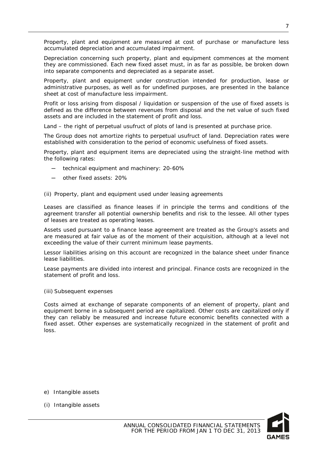Property, plant and equipment are measured at cost of purchase or manufacture less accumulated depreciation and accumulated impairment.

Depreciation concerning such property, plant and equipment commences at the moment they are commissioned. Each new fixed asset must, in as far as possible, be broken down into separate components and depreciated as a separate asset.

Property, plant and equipment under construction intended for production, lease or administrative purposes, as well as for undefined purposes, are presented in the balance sheet at cost of manufacture less impairment.

Profit or loss arising from disposal / liquidation or suspension of the use of fixed assets is defined as the difference between revenues from disposal and the net value of such fixed assets and are included in the statement of profit and loss.

Land – the right of perpetual usufruct of plots of land is presented at purchase price.

The Group does not amortize rights to perpetual usufruct of land. Depreciation rates were established with consideration to the period of economic usefulness of fixed assets.

Property, plant and equipment items are depreciated using the straight-line method with the following rates:

- technical equipment and machinery: 20-60%
- other fixed assets: 20%
- (ii) Property, plant and equipment used under leasing agreements

Leases are classified as finance leases if in principle the terms and conditions of the agreement transfer all potential ownership benefits and risk to the lessee. All other types of leases are treated as operating leases.

Assets used pursuant to a finance lease agreement are treated as the Group's assets and are measured at fair value as of the moment of their acquisition, although at a level not exceeding the value of their current minimum lease payments.

Lessor liabilities arising on this account are recognized in the balance sheet under finance lease liabilities.

Lease payments are divided into interest and principal. Finance costs are recognized in the statement of profit and loss.

(iii) Subsequent expenses

Costs aimed at exchange of separate components of an element of property, plant and equipment borne in a subsequent period are capitalized. Other costs are capitalized only if they can reliably be measured and increase future economic benefits connected with a fixed asset. Other expenses are systematically recognized in the statement of profit and loss.

- e) Intangible assets
- (i) Intangible assets

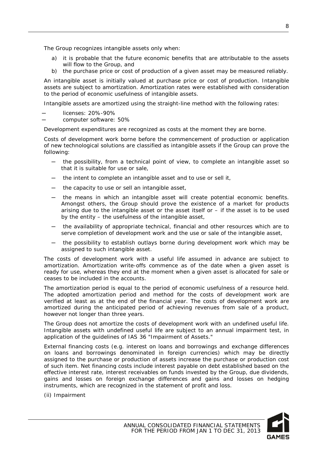The Group recognizes intangible assets only when:

- a) it is probable that the future economic benefits that are attributable to the assets will flow to the Group, and
- b) the purchase price or cost of production of a given asset may be measured reliably.

An intangible asset is initially valued at purchase price or cost of production. Intangible assets are subject to amortization. Amortization rates were established with consideration to the period of economic usefulness of intangible assets.

Intangible assets are amortized using the straight-line method with the following rates:

- licenses: 20%-90%
- ─ computer software: 50%

Development expenditures are recognized as costs at the moment they are borne.

Costs of development work borne before the commencement of production or application of new technological solutions are classified as intangible assets if the Group can prove the following:

- the possibility, from a technical point of view, to complete an intangible asset so that it is suitable for use or sale,
- the intent to complete an intangible asset and to use or sell it,
- ─ the capacity to use or sell an intangible asset,
- ─ the means in which an intangible asset will create potential economic benefits. Amongst others, the Group should prove the existence of a market for products arising due to the intangible asset or the asset itself or – if the asset is to be used by the entity – the usefulness of the intangible asset,
- ─ the availability of appropriate technical, financial and other resources which are to serve completion of development work and the use or sale of the intangible asset,
- the possibility to establish outlays borne during development work which may be assigned to such intangible asset.

The costs of development work with a useful life assumed in advance are subject to amortization. Amortization write-offs commence as of the date when a given asset is ready for use, whereas they end at the moment when a given asset is allocated for sale or ceases to be included in the accounts.

The amortization period is equal to the period of economic usefulness of a resource held. The adopted amortization period and method for the costs of development work are verified at least as at the end of the financial year. The costs of development work are amortized during the anticipated period of achieving revenues from sale of a product, however not longer than three years.

The Group does not amortize the costs of development work with an undefined useful life. Intangible assets with undefined useful life are subject to an annual impairment test, in application of the guidelines of IAS 36 "Impairment of Assets."

External financing costs (e.g. interest on loans and borrowings and exchange differences on loans and borrowings denominated in foreign currencies) which may be directly assigned to the purchase or production of assets increase the purchase or production cost of such item. Net financing costs include interest payable on debt established based on the effective interest rate, interest receivables on funds invested by the Group, due dividends, gains and losses on foreign exchange differences and gains and losses on hedging instruments, which are recognized in the statement of profit and loss.

(ii) Impairment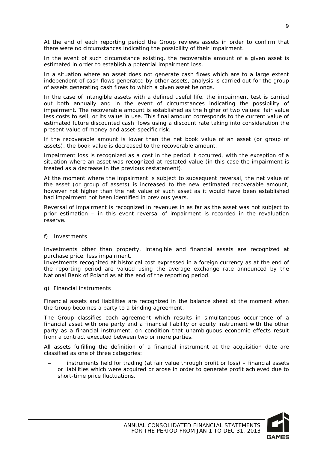At the end of each reporting period the Group reviews assets in order to confirm that there were no circumstances indicating the possibility of their impairment.

In the event of such circumstance existing, the recoverable amount of a given asset is estimated in order to establish a potential impairment loss.

In a situation where an asset does not generate cash flows which are to a large extent independent of cash flows generated by other assets, analysis is carried out for the group of assets generating cash flows to which a given asset belongs.

In the case of intangible assets with a defined useful life, the impairment test is carried out both annually and in the event of circumstances indicating the possibility of impairment. The recoverable amount is established as the higher of two values: fair value less costs to sell, or its value in use. This final amount corresponds to the current value of estimated future discounted cash flows using a discount rate taking into consideration the present value of money and asset-specific risk.

If the recoverable amount is lower than the net book value of an asset (or group of assets), the book value is decreased to the recoverable amount.

Impairment loss is recognized as a cost in the period it occurred, with the exception of a situation where an asset was recognized at restated value (in this case the impairment is treated as a decrease in the previous restatement).

At the moment where the impairment is subject to subsequent reversal, the net value of the asset (or group of assets) is increased to the new estimated recoverable amount, however not higher than the net value of such asset as it would have been established had impairment not been identified in previous years.

Reversal of impairment is recognized in revenues in as far as the asset was not subject to prior estimation – in this event reversal of impairment is recorded in the revaluation reserve.

f) Investments

Investments other than property, intangible and financial assets are recognized at purchase price, less impairment.

Investments recognized at historical cost expressed in a foreign currency as at the end of the reporting period are valued using the average exchange rate announced by the National Bank of Poland as at the end of the reporting period.

g) Financial instruments

Financial assets and liabilities are recognized in the balance sheet at the moment when the Group becomes a party to a binding agreement.

The Group classifies each agreement which results in simultaneous occurrence of a financial asset with one party and a financial liability or equity instrument with the other party as a financial instrument, on condition that unambiguous economic effects result from a contract executed between two or more parties.

All assets fulfilling the definition of a financial instrument at the acquisition date are classified as one of three categories:

− instruments held for trading (at fair value through profit or loss) – financial assets or liabilities which were acquired or arose in order to generate profit achieved due to short-time price fluctuations,

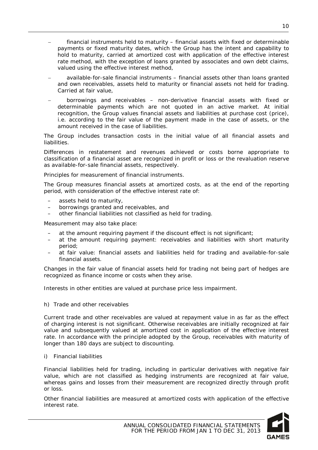- financial instruments held to maturity financial assets with fixed or determinable payments or fixed maturity dates, which the Group has the intent and capability to hold to maturity, carried at amortized cost with application of the effective interest rate method, with the exception of loans granted by associates and own debt claims, valued using the effective interest method,
- − available-for-sale financial instruments financial assets other than loans granted and own receivables, assets held to maturity or financial assets not held for trading. Carried at fair value,
- borrowings and receivables non-derivative financial assets with fixed or determinable payments which are not quoted in an active market. At initial recognition, the Group values financial assets and liabilities at purchase cost (price), i.e. according to the fair value of the payment made in the case of assets, or the amount received in the case of liabilities.

The Group includes transaction costs in the initial value of all financial assets and liabilities.

Differences in restatement and revenues achieved or costs borne appropriate to classification of a financial asset are recognized in profit or loss or the revaluation reserve as available-for-sale financial assets, respectively.

Principles for measurement of financial instruments.

The Group measures financial assets at amortized costs, as at the end of the reporting period, with consideration of the effective interest rate of:

- assets held to maturity,
- borrowings granted and receivables, and
- other financial liabilities not classified as held for trading.

Measurement may also take place:

- at the amount requiring payment if the discount effect is not significant;
- at the amount requiring payment: receivables and liabilities with short maturity period;
- at fair value: financial assets and liabilities held for trading and available-for-sale financial assets.

Changes in the fair value of financial assets held for trading not being part of hedges are recognized as finance income or costs when they arise.

Interests in other entities are valued at purchase price less impairment.

#### h) Trade and other receivables

Current trade and other receivables are valued at repayment value in as far as the effect of charging interest is not significant. Otherwise receivables are initially recognized at fair value and subsequently valued at amortized cost in application of the effective interest rate. In accordance with the principle adopted by the Group, receivables with maturity of longer than 180 days are subject to discounting.

#### i) Financial liabilities

Financial liabilities held for trading, including in particular derivatives with negative fair value, which are not classified as hedging instruments are recognized at fair value, whereas gains and losses from their measurement are recognized directly through profit or loss.

Other financial liabilities are measured at amortized costs with application of the effective interest rate.

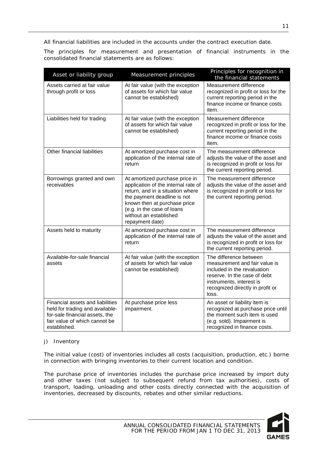All financial liabilities are included in the accounts under the contract execution date.

The principles for measurement and presentation of financial instruments in the consolidated financial statements are as follows:

| Asset or liability group                                                                                                                               | Measurement principles                                                                                                                                                                                                                              | Principles for recognition in<br>the financial statements                                                                                                                                       |
|--------------------------------------------------------------------------------------------------------------------------------------------------------|-----------------------------------------------------------------------------------------------------------------------------------------------------------------------------------------------------------------------------------------------------|-------------------------------------------------------------------------------------------------------------------------------------------------------------------------------------------------|
| Assets carried at fair value<br>through profit or loss                                                                                                 | At fair value (with the exception<br>of assets for which fair value<br>cannot be established)                                                                                                                                                       | Measurement difference<br>recognized in profit or loss for the<br>current reporting period in the<br>finance income or finance costs<br>item.                                                   |
| Liabilities held for trading                                                                                                                           | At fair value (with the exception<br>of assets for which fair value<br>cannot be established)                                                                                                                                                       | Measurement difference<br>recognized in profit or loss for the<br>current reporting period in the<br>finance income or finance costs<br>item.                                                   |
| Other financial liabilities                                                                                                                            | At amortized purchase cost in<br>application of the internal rate of<br>return                                                                                                                                                                      | The measurement difference<br>adjusts the value of the asset and<br>is recognized in profit or loss for<br>the current reporting period.                                                        |
| Borrowings granted and own<br>receivables                                                                                                              | At amortized purchase price in<br>application of the internal rate of<br>return, and in a situation where<br>the payment deadline is not<br>known then at purchase price<br>(e.g. in the case of loans<br>without an established<br>repayment date) | The measurement difference<br>adjusts the value of the asset and<br>is recognized in profit or loss for<br>the current reporting period.                                                        |
| Assets held to maturity                                                                                                                                | At amortized purchase cost in<br>application of the internal rate of<br>return                                                                                                                                                                      | The measurement difference<br>adjusts the value of the asset and<br>is recognized in profit or loss for<br>the current reporting period.                                                        |
| Available-for-sale financial<br>assets                                                                                                                 | At fair value (with the exception<br>of assets for which fair value<br>cannot be established)                                                                                                                                                       | The difference between<br>measurement and fair value is<br>included in the revaluation<br>reserve. In the case of debt<br>instruments, interest is<br>recognized directly in profit or<br>loss. |
| Financial assets and liabilities<br>held for trading and available-<br>for-sale financial assets, the<br>fair value of which cannot be<br>established. | At purchase price less<br>impairment.                                                                                                                                                                                                               | An asset or liability item is<br>recognized at purchase price until<br>the moment such item is used<br>(e.g. sold). Impairment is<br>recognized in finance costs.                               |

#### j) Inventory

The initial value (cost) of inventories includes all costs (acquisition, production, etc.) borne in connection with bringing inventories to their current location and condition.

The purchase price of inventories includes the purchase price increased by import duty and other taxes (not subject to subsequent refund from tax authorities), costs of transport, loading, unloading and other costs directly connected with the acquisition of inventories, decreased by discounts, rebates and other similar reductions.

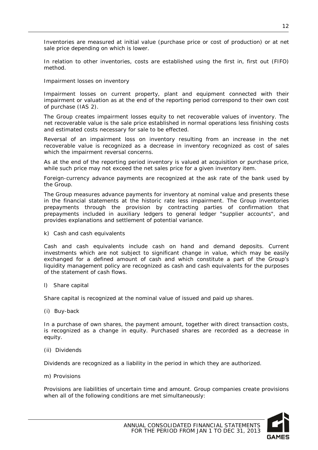Inventories are measured at initial value (purchase price or cost of production) or at net sale price depending on which is lower.

In relation to other inventories, costs are established using the first in, first out (FIFO) method.

#### Impairment losses on inventory

Impairment losses on current property, plant and equipment connected with their impairment or valuation as at the end of the reporting period correspond to their own cost of purchase (IAS 2).

The Group creates impairment losses equity to net recoverable values of inventory. The net recoverable value is the sale price established in normal operations less finishing costs and estimated costs necessary for sale to be effected.

Reversal of an impairment loss on inventory resulting from an increase in the net recoverable value is recognized as a decrease in inventory recognized as cost of sales which the impairment reversal concerns.

As at the end of the reporting period inventory is valued at acquisition or purchase price, while such price may not exceed the net sales price for a given inventory item.

Foreign-currency advance payments are recognized at the ask rate of the bank used by the Group.

The Group measures advance payments for inventory at nominal value and presents these in the financial statements at the historic rate less impairment. The Group inventories prepayments through the provision by contracting parties of confirmation that prepayments included in auxiliary ledgers to general ledger "supplier accounts", and provides explanations and settlement of potential variance.

k) Cash and cash equivalents

Cash and cash equivalents include cash on hand and demand deposits. Current investments which are not subject to significant change in value, which may be easily exchanged for a defined amount of cash and which constitute a part of the Group's liquidity management policy are recognized as cash and cash equivalents for the purposes of the statement of cash flows.

l) Share capital

Share capital is recognized at the nominal value of issued and paid up shares.

(i) Buy-back

In a purchase of own shares, the payment amount, together with direct transaction costs, is recognized as a change in equity. Purchased shares are recorded as a decrease in equity.

(ii) Dividends

Dividends are recognized as a liability in the period in which they are authorized.

m) Provisions

Provisions are liabilities of uncertain time and amount. Group companies create provisions when all of the following conditions are met simultaneously:



12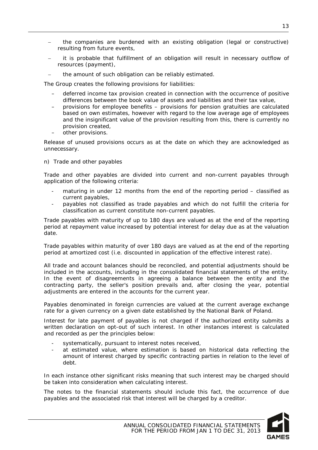- the companies are burdened with an existing obligation (legal or constructive) resulting from future events,
- − it is probable that fulfillment of an obligation will result in necessary outflow of resources (payment),
	- the amount of such obligation can be reliably estimated.

The Group creates the following provisions for liabilities:

- deferred income tax provision created in connection with the occurrence of positive differences between the book value of assets and liabilities and their tax value,
- provisions for employee benefits provisions for pension gratuities are calculated based on own estimates, however with regard to the low average age of employees and the insignificant value of the provision resulting from this, there is currently no provision created,
- other provisions.

Release of unused provisions occurs as at the date on which they are acknowledged as unnecessary.

n) Trade and other payables

Trade and other payables are divided into current and non-current payables through application of the following criteria:

- maturing in under 12 months from the end of the reporting period classified as current payables,
- payables not classified as trade payables and which do not fulfill the criteria for classification as current constitute non-current payables.

Trade payables with maturity of up to 180 days are valued as at the end of the reporting period at repayment value increased by potential interest for delay due as at the valuation date.

Trade payables within maturity of over 180 days are valued as at the end of the reporting period at amortized cost (i.e. discounted in application of the effective interest rate).

All trade and account balances should be reconciled, and potential adjustments should be included in the accounts, including in the consolidated financial statements of the entity. In the event of disagreements in agreeing a balance between the entity and the contracting party, the seller's position prevails and, after closing the year, potential adjustments are entered in the accounts for the current year.

Payables denominated in foreign currencies are valued at the current average exchange rate for a given currency on a given date established by the National Bank of Poland.

Interest for late payment of payables is not charged if the authorized entity submits a written declaration on opt-out of such interest. In other instances interest is calculated and recorded as per the principles below:

- systematically, pursuant to interest notes received,
- at estimated value, where estimation is based on historical data reflecting the amount of interest charged by specific contracting parties in relation to the level of debt.

In each instance other significant risks meaning that such interest may be charged should be taken into consideration when calculating interest.

The notes to the financial statements should include this fact, the occurrence of due payables and the associated risk that interest will be charged by a creditor.

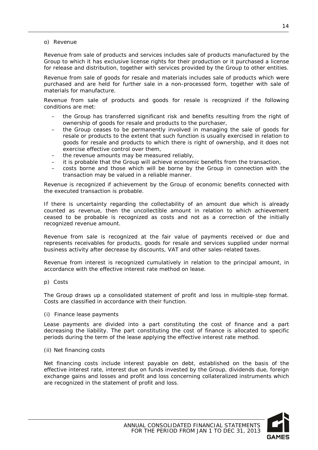#### o) Revenue

Revenue from sale of products and services includes sale of products manufactured by the Group to which it has exclusive license rights for their production or it purchased a license for release and distribution, together with services provided by the Group to other entities.

Revenue from sale of goods for resale and materials includes sale of products which were purchased and are held for further sale in a non-processed form, together with sale of materials for manufacture.

Revenue from sale of products and goods for resale is recognized if the following conditions are met:

- the Group has transferred significant risk and benefits resulting from the right of ownership of goods for resale and products to the purchaser,
- the Group ceases to be permanently involved in managing the sale of goods for resale or products to the extent that such function is usually exercised in relation to goods for resale and products to which there is right of ownership, and it does not exercise effective control over them,
- the revenue amounts may be measured reliably,
- it is probable that the Group will achieve economic benefits from the transaction,
- costs borne and those which will be borne by the Group in connection with the transaction may be valued in a reliable manner.

Revenue is recognized if achievement by the Group of economic benefits connected with the executed transaction is probable.

If there is uncertainty regarding the collectability of an amount due which is already counted as revenue, then the uncollectible amount in relation to which achievement ceased to be probable is recognized as costs and not as a correction of the initially recognized revenue amount.

Revenue from sale is recognized at the fair value of payments received or due and represents receivables for products, goods for resale and services supplied under normal business activity after decrease by discounts, VAT and other sales-related taxes.

Revenue from interest is recognized cumulatively in relation to the principal amount, in accordance with the effective interest rate method on lease.

p) Costs

The Group draws up a consolidated statement of profit and loss in multiple-step format. Costs are classified in accordance with their function.

#### (i) Finance lease payments

Lease payments are divided into a part constituting the cost of finance and a part decreasing the liability. The part constituting the cost of finance is allocated to specific periods during the term of the lease applying the effective interest rate method.

(ii) Net financing costs

Net financing costs include interest payable on debt, established on the basis of the effective interest rate, interest due on funds invested by the Group, dividends due, foreign exchange gains and losses and profit and loss concerning collateralized instruments which are recognized in the statement of profit and loss.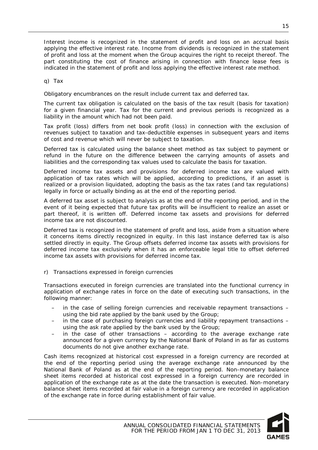Interest income is recognized in the statement of profit and loss on an accrual basis applying the effective interest rate. Income from dividends is recognized in the statement of profit and loss at the moment when the Group acquires the right to receipt thereof. The part constituting the cost of finance arising in connection with finance lease fees is indicated in the statement of profit and loss applying the effective interest rate method.

q) Tax

Obligatory encumbrances on the result include current tax and deferred tax.

The current tax obligation is calculated on the basis of the tax result (basis for taxation) for a given financial year. Tax for the current and previous periods is recognized as a liability in the amount which had not been paid.

Tax profit (loss) differs from net book profit (loss) in connection with the exclusion of revenues subject to taxation and tax-deductible expenses in subsequent years and items of cost and revenue which will never be subject to taxation.

Deferred tax is calculated using the balance sheet method as tax subject to payment or refund in the future on the difference between the carrying amounts of assets and liabilities and the corresponding tax values used to calculate the basis for taxation.

Deferred income tax assets and provisions for deferred income tax are valued with application of tax rates which will be applied, according to predictions, if an asset is realized or a provision liquidated, adopting the basis as the tax rates (and tax regulations) legally in force or actually binding as at the end of the reporting period.

A deferred tax asset is subject to analysis as at the end of the reporting period, and in the event of it being expected that future tax profits will be insufficient to realize an asset or part thereof, it is written off. Deferred income tax assets and provisions for deferred income tax are not discounted.

Deferred tax is recognized in the statement of profit and loss, aside from a situation where it concerns items directly recognized in equity. In this last instance deferred tax is also settled directly in equity. The Group offsets deferred income tax assets with provisions for deferred income tax exclusively when it has an enforceable legal title to offset deferred income tax assets with provisions for deferred income tax.

r) Transactions expressed in foreign currencies

Transactions executed in foreign currencies are translated into the functional currency in application of exchange rates in force on the date of executing such transactions, in the following manner:

- in the case of selling foreign currencies and receivable repayment transactions using the bid rate applied by the bank used by the Group;
- in the case of purchasing foreign currencies and liability repayment transactions using the ask rate applied by the bank used by the Group;
- in the case of other transactions  $-$  according to the average exchange rate announced for a given currency by the National Bank of Poland in as far as customs documents do not give another exchange rate.

Cash items recognized at historical cost expressed in a foreign currency are recorded at the end of the reporting period using the average exchange rate announced by the National Bank of Poland as at the end of the reporting period. Non-monetary balance sheet items recorded at historical cost expressed in a foreign currency are recorded in application of the exchange rate as at the date the transaction is executed. Non-monetary balance sheet items recorded at fair value in a foreign currency are recorded in application of the exchange rate in force during establishment of fair value.

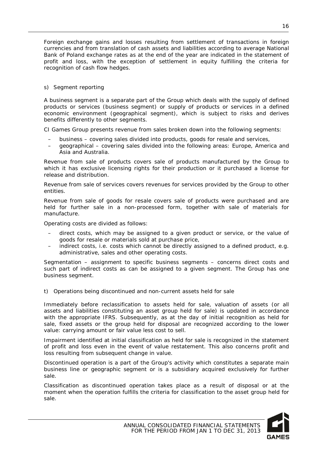Foreign exchange gains and losses resulting from settlement of transactions in foreign currencies and from translation of cash assets and liabilities according to average National Bank of Poland exchange rates as at the end of the year are indicated in the statement of profit and loss, with the exception of settlement in equity fulfilling the criteria for recognition of cash flow hedges.

#### s) Segment reporting

A business segment is a separate part of the Group which deals with the supply of defined products or services (business segment) or supply of products or services in a defined economic environment (geographical segment), which is subject to risks and derives benefits differently to other segments.

CI Games Group presents revenue from sales broken down into the following segments:

- business covering sales divided into products, goods for resale and services,
- geographical covering sales divided into the following areas: Europe, America and Asia and Australia.

Revenue from sale of products covers sale of products manufactured by the Group to which it has exclusive licensing rights for their production or it purchased a license for release and distribution.

Revenue from sale of services covers revenues for services provided by the Group to other entities.

Revenue from sale of goods for resale covers sale of products were purchased and are held for further sale in a non-processed form, together with sale of materials for manufacture.

Operating costs are divided as follows:

- direct costs, which may be assigned to a given product or service, or the value of goods for resale or materials sold at purchase price,
- indirect costs, i.e. costs which cannot be directly assigned to a defined product, e.g. administrative, sales and other operating costs.

Segmentation – assignment to specific business segments – concerns direct costs and such part of indirect costs as can be assigned to a given segment. The Group has one business segment.

t) Operations being discontinued and non-current assets held for sale

Immediately before reclassification to assets held for sale, valuation of assets (or all assets and liabilities constituting an asset group held for sale) is updated in accordance with the appropriate IFRS. Subsequently, as at the day of initial recognition as held for sale, fixed assets or the group held for disposal are recognized according to the lower value: carrying amount or fair value less cost to sell.

Impairment identified at initial classification as held for sale is recognized in the statement of profit and loss even in the event of value restatement. This also concerns profit and loss resulting from subsequent change in value.

Discontinued operation is a part of the Group's activity which constitutes a separate main business line or geographic segment or is a subsidiary acquired exclusively for further sale.

Classification as discontinued operation takes place as a result of disposal or at the moment when the operation fulfills the criteria for classification to the asset group held for sale.

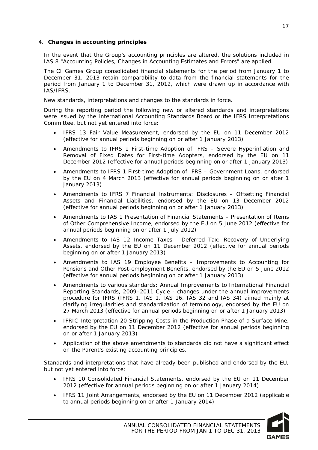#### <span id="page-17-0"></span>4. **Changes in accounting principles**

In the event that the Group's accounting principles are altered, the solutions included in IAS 8 "Accounting Policies, Changes in Accounting Estimates and Errors" are applied.

The CI Games Group consolidated financial statements for the period from January 1 to December 31, 2013 retain comparability to data from the financial statements for the period from January 1 to December 31, 2012, which were drawn up in accordance with IAS/IFRS.

New standards, interpretations and changes to the standards in force.

During the reporting period the following new or altered standards and interpretations were issued by the International Accounting Standards Board or the IFRS Interpretations Committee, but not yet entered into force:

- IFRS 13 Fair Value Measurement, endorsed by the EU on 11 December 2012 (effective for annual periods beginning on or after 1 January 2013)
- Amendments to IFRS 1 First-time Adoption of IFRS Severe Hyperinflation and Removal of Fixed Dates for First-time Adopters, endorsed by the EU on 11 December 2012 (effective for annual periods beginning on or after 1 January 2013)
- Amendments to IFRS 1 First-time Adoption of IFRS Government Loans, endorsed by the EU on 4 March 2013 (effective for annual periods beginning on or after 1 January 2013)
- Amendments to IFRS 7 Financial Instruments: Disclosures Offsetting Financial Assets and Financial Liabilities, endorsed by the EU on 13 December 2012 (effective for annual periods beginning on or after 1 January 2013)
- Amendments to IAS 1 Presentation of Financial Statements Presentation of Items of Other Comprehensive Income, endorsed by the EU on 5 June 2012 (effective for annual periods beginning on or after 1 July 2012)
- Amendments to IAS 12 Income Taxes Deferred Tax: Recovery of Underlying Assets, endorsed by the EU on 11 December 2012 (effective for annual periods beginning on or after 1 January 2013)
- Amendments to IAS 19 Employee Benefits Improvements to Accounting for Pensions and Other Post-employment Benefits, endorsed by the EU on 5 June 2012 (effective for annual periods beginning on or after 1 January 2013)
- Amendments to various standards: Annual Improvements to International Financial Reporting Standards, 2009–2011 Cycle - changes under the annual improvements procedure for IFRS (IFRS 1, IAS 1, IAS 16, IAS 32 and IAS 34) aimed mainly at clarifying irregularities and standardization of terminology, endorsed by the EU on 27 March 2013 (effective for annual periods beginning on or after 1 January 2013)
- IFRIC Interpretation 20 Stripping Costs in the Production Phase of a Surface Mine, endorsed by the EU on 11 December 2012 (effective for annual periods beginning on or after 1 January 2013)
- Application of the above amendments to standards did not have a significant effect on the Parent's existing accounting principles.

Standards and interpretations that have already been published and endorsed by the EU, but not yet entered into force:

- IFRS 10 Consolidated Financial Statements, endorsed by the EU on 11 December 2012 (effective for annual periods beginning on or after 1 January 2014)
- IFRS 11 Joint Arrangements, endorsed by the EU on 11 December 2012 (applicable to annual periods beginning on or after 1 January 2014)

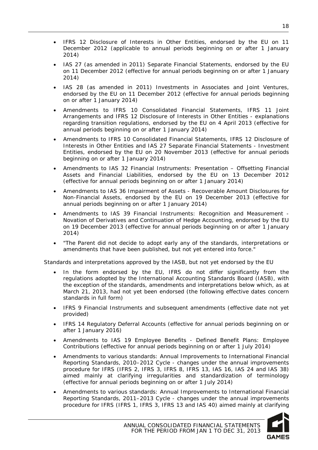- IFRS 12 Disclosure of Interests in Other Entities, endorsed by the EU on 11 December 2012 (applicable to annual periods beginning on or after 1 January 2014)
- IAS 27 (as amended in 2011) Separate Financial Statements, endorsed by the EU on 11 December 2012 (effective for annual periods beginning on or after 1 January 2014)
- IAS 28 (as amended in 2011) Investments in Associates and Joint Ventures, endorsed by the EU on 11 December 2012 (effective for annual periods beginning on or after 1 January 2014)
- Amendments to IFRS 10 Consolidated Financial Statements, IFRS 11 Joint Arrangements and IFRS 12 Disclosure of Interests in Other Entities - explanations regarding transition regulations, endorsed by the EU on 4 April 2013 (effective for annual periods beginning on or after 1 January 2014)
- Amendments to IFRS 10 Consolidated Financial Statements, IFRS 12 Disclosure of Interests in Other Entities and IAS 27 Separate Financial Statements - Investment Entities, endorsed by the EU on 20 November 2013 (effective for annual periods beginning on or after 1 January 2014)
- Amendments to IAS 32 Financial Instruments: Presentation Offsetting Financial Assets and Financial Liabilities, endorsed by the EU on 13 December 2012 (effective for annual periods beginning on or after 1 January 2014)
- Amendments to IAS 36 Impairment of Assets Recoverable Amount Disclosures for Non-Financial Assets, endorsed by the EU on 19 December 2013 (effective for annual periods beginning on or after 1 January 2014)
- Amendments to IAS 39 Financial Instruments: Recognition and Measurement Novation of Derivatives and Continuation of Hedge Accounting, endorsed by the EU on 19 December 2013 (effective for annual periods beginning on or after 1 January 2014)
- "The Parent did not decide to adopt early any of the standards, interpretations or amendments that have been published, but not yet entered into force."

Standards and interpretations approved by the IASB, but not yet endorsed by the EU

- In the form endorsed by the EU, IFRS do not differ significantly from the regulations adopted by the International Accounting Standards Board (IASB), with the exception of the standards, amendments and interpretations below which, as at March 21, 2013, had not yet been endorsed (the following effective dates concern standards in full form)
- IFRS 9 Financial Instruments and subsequent amendments (effective date not yet provided)
- IFRS 14 Regulatory Deferral Accounts (effective for annual periods beginning on or after 1 January 2016)
- Amendments to IAS 19 Employee Benefits Defined Benefit Plans: Employee Contributions (effective for annual periods beginning on or after 1 July 2014)
- Amendments to various standards: Annual Improvements to International Financial Reporting Standards, 2010–2012 Cycle - changes under the annual improvements procedure for IFRS (IFRS 2, IFRS 3, IFRS 8, IFRS 13, IAS 16, IAS 24 and IAS 38) aimed mainly at clarifying irregularities and standardization of terminology (effective for annual periods beginning on or after 1 July 2014)
- Amendments to various standards: Annual Improvements to International Financial Reporting Standards, 2011–2013 Cycle - changes under the annual improvements procedure for IFRS (IFRS 1, IFRS 3, IFRS 13 and IAS 40) aimed mainly at clarifying

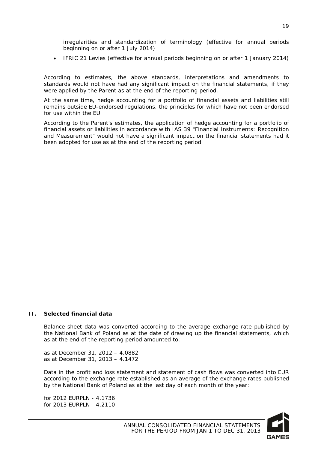irregularities and standardization of terminology (effective for annual periods beginning on or after 1 July 2014)

• IFRIC 21 Levies (effective for annual periods beginning on or after 1 January 2014)

According to estimates, the above standards, interpretations and amendments to standards would not have had any significant impact on the financial statements, if they were applied by the Parent as at the end of the reporting period.

At the same time, hedge accounting for a portfolio of financial assets and liabilities still remains outside EU-endorsed regulations, the principles for which have not been endorsed for use within the EU.

According to the Parent's estimates, the application of hedge accounting for a portfolio of financial assets or liabilities in accordance with IAS 39 "Financial Instruments: Recognition and Measurement" would not have a significant impact on the financial statements had it been adopted for use as at the end of the reporting period.

#### <span id="page-19-0"></span>**II. Selected financial data**

Balance sheet data was converted according to the average exchange rate published by the National Bank of Poland as at the date of drawing up the financial statements, which as at the end of the reporting period amounted to:

as at December 31, 2012 – 4.0882 as at December 31, 2013 – 4.1472

Data in the profit and loss statement and statement of cash flows was converted into EUR according to the exchange rate established as an average of the exchange rates published by the National Bank of Poland as at the last day of each month of the year:

for 2012 EURPLN - 4.1736 for 2013 EURPLN - 4.2110

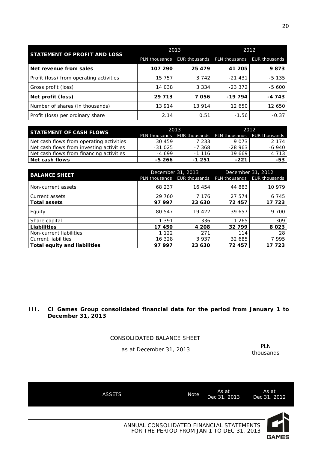|                                         | 2013          |          | 2012                                      |          |  |
|-----------------------------------------|---------------|----------|-------------------------------------------|----------|--|
| STATEMENT OF PROFIT AND LOSS            | PLN thousands |          | EUR thousands PLN thousands EUR thousands |          |  |
| Net revenue from sales                  | 107 290       | 25 4 7 9 | 41 205                                    | 9873     |  |
| Profit (loss) from operating activities | 15 757        | 3 7 4 2  | $-21431$                                  | $-5$ 135 |  |
| Gross profit (loss)                     | 14 038        | 3 3 3 4  | $-23.372$                                 | -5 600   |  |
| Net profit (loss)                       | 29 7 13       | 7056     | $-19794$                                  | $-4743$  |  |
| Number of shares (in thousands)         | 13 914        | 13 914   | 12 650                                    | 12 650   |  |
| Profit (loss) per ordinary share        | 2.14          | 0.51     | $-1.56$                                   | $-0.37$  |  |

| <b>STATEMENT OF CASH FLOWS</b>           |          | 2013                                                    | -2012     |           |  |
|------------------------------------------|----------|---------------------------------------------------------|-----------|-----------|--|
|                                          |          | PLN thousands EUR thousands PLN thousands EUR thousands |           |           |  |
| Net cash flows from operating activities | 30 459   | 7 2 3 3 1                                               | 9 0 7 3 1 | 2 1 7 4 1 |  |
| Net cash flows from investing activities | $-31025$ | -7 368                                                  | $-28963$  | $-6940$   |  |
| Net cash flows from financing activities | $-4699$  | $-1116$                                                 | 19 669    | 4 7 1 3   |  |
| Net cash flows                           | -5 266   | $-1251$                                                 | $-221$    | $-53$     |  |

| <b>BALANCE SHEET</b>         |               | December 31, 2013    | December 31, 2012 |                      |  |
|------------------------------|---------------|----------------------|-------------------|----------------------|--|
|                              | PLN thousands | <b>EUR thousands</b> | PLN thousands     | <b>EUR thousands</b> |  |
| Non-current assets           | 68 237        | 16 454               | 44 883            | 10 979               |  |
| l Current assets             | 29 760        | 7 1 7 6              | 27 574            | 6 7 4 5              |  |
| Total assets                 | 97 997        | 23 630               | 72457             | 17 723               |  |
| Equity                       | 80 547        | 19 422               | 39 657            | 9 700                |  |
| Share capital                | 1 3 9 1       | 336                  | 1 265             | 309                  |  |
| Liabilities                  | 17 450        | 4 2 0 8              | 32799             | 8 0 2 3              |  |
| Non-current liabilities      | 1 1 2 2       | 271                  | 114               | 28                   |  |
| Current liabilities          | 16 328        | 3 9 3 7              | 32 685            | 7 9 9 5              |  |
| Total equity and liabilities | 97 997        | 23 630               | 72457             | 17 723               |  |

#### <span id="page-20-0"></span>**III. CI Games Group consolidated financial data for the period from January 1 to December 31, 2013**

CONSOLIDATED BALANCE SHEET

as at December 31, 2013

thousands

**GAMES** 

| <b>ASSETS</b> | <b>Note</b>                                                                           | As at<br>Dec 31, 2013 | As at<br>Dec 31, 2012 |
|---------------|---------------------------------------------------------------------------------------|-----------------------|-----------------------|
|               |                                                                                       |                       |                       |
|               | ANNUAL CONSOLIDATED FINANCIAL STATEMENTS<br>FOR THE PERIOD FROM JAN 1 TO DEC 31, 2013 |                       |                       |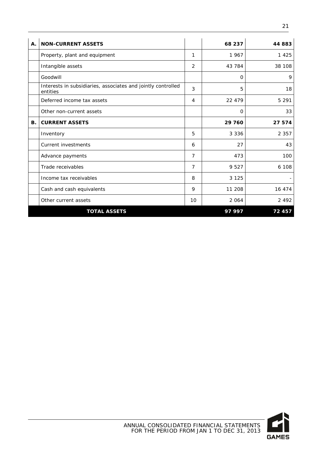| A. | <b>NON-CURRENT ASSETS</b>                                                |    | 68 237      | 44 883  |
|----|--------------------------------------------------------------------------|----|-------------|---------|
|    | Property, plant and equipment                                            | 1  | 1967        | 1 4 2 5 |
|    | Intangible assets                                                        | 2  | 43 784      | 38 108  |
|    | Goodwill                                                                 |    | 0           | 9       |
|    | Interests in subsidiaries, associates and jointly controlled<br>entities | 3  | 5           | 18      |
|    | Deferred income tax assets                                               | 4  | 22 479      | 5 2 9 1 |
|    | Other non-current assets                                                 |    | $\mathbf 0$ | 33      |
| В. | <b>CURRENT ASSETS</b>                                                    |    | 29 760      | 27 574  |
|    | Inventory                                                                | 5  | 3 3 3 6     | 2 3 5 7 |
|    | <b>Current investments</b>                                               | 6  | 27          | 43      |
|    | Advance payments                                                         | 7  | 473         | 100     |
|    | Trade receivables                                                        | 7  | 9 5 2 7     | 6 108   |
|    | Income tax receivables                                                   | 8  | 3 1 2 5     |         |
|    | Cash and cash equivalents                                                | 9  | 11 208      | 16 474  |
|    | Other current assets                                                     | 10 | 2 0 6 4     | 2 4 9 2 |
|    | <b>TOTAL ASSETS</b>                                                      |    | 97997       | 72 457  |

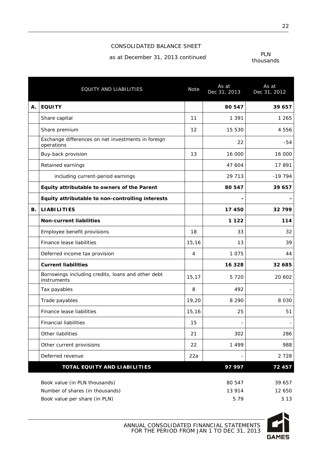#### CONSOLIDATED BALANCE SHEET

as at December 31, 2013 continued

| PI N      |
|-----------|
| thousands |

|    | EQUITY AND LIABILITIES                                            | <b>Note</b> | As at<br>Dec 31, 2013 | As at<br>Dec 31, 2012 |
|----|-------------------------------------------------------------------|-------------|-----------------------|-----------------------|
| Α. | <b>EQUITY</b>                                                     |             | 80 547                | 39 657                |
|    | Share capital                                                     | 11          | 1 3 9 1               | 1 2 6 5               |
|    | Share premium                                                     | 12          | 15 530                | 4 5 5 6               |
|    | Exchange differences on net investments in foreign<br>operations  |             | 22                    | -54                   |
|    | Buy-back provision                                                | 13          | 16 000                | 16 000                |
|    | Retained earnings                                                 |             | 47 604                | 17891                 |
|    | including current-period earnings                                 |             | 29 713                | $-19794$              |
|    | Equity attributable to owners of the Parent                       |             | 80 547                | 39 657                |
|    | Equity attributable to non-controlling interests                  |             |                       |                       |
| В. | <b>LIABILITIES</b>                                                |             | 17 450                | 32799                 |
|    | <b>Non-current liabilities</b>                                    |             | 1 1 2 2               | 114                   |
|    | Employee benefit provisions                                       | 18          | 33                    | 32                    |
|    | Finance lease liabilities                                         | 15,16       | 13                    | 39                    |
|    | Deferred income tax provision                                     | 4           | 1 0 7 5               | 44                    |
|    | <b>Current liabilities</b>                                        |             | 16 328                | 32 685                |
|    | Borrowings including credits, loans and other debt<br>instruments | 15,17       | 5 7 2 0               | 20 602                |
|    | Tax payables                                                      | 8           | 492                   |                       |
|    | Trade payables                                                    | 19,20       | 8 2 9 0               | 8 0 3 0               |
|    | Finance lease liabilities                                         | 15,16       | 25                    | 51                    |
|    | <b>Financial liabilities</b>                                      | 15          |                       |                       |
|    | Other liabilities                                                 | 21          | 302                   | 286                   |
|    | Other current provisions                                          | 22          | 1 4 9 9               | 988                   |
|    | Deferred revenue                                                  | 22a         |                       | 2 7 2 8               |
|    | TOTAL EQUITY AND LIABILITIES                                      |             | 97 997                | 72 457                |
|    | Book value (in PLN thousands)                                     |             | 80 547                | 39 657                |
|    | Number of shares (in thousands)                                   |             | 13 914                | 12 650                |

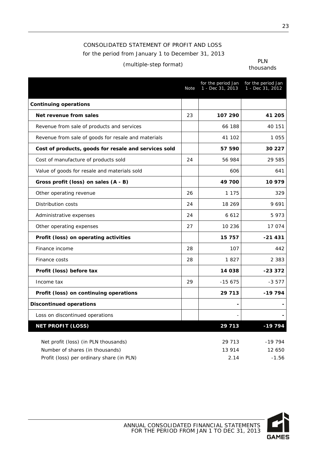## CONSOLIDATED STATEMENT OF PROFIT AND LOSS for the period from January 1 to December 31, 2013

## (multiple-step format) PLN

thousands

|                                                      | Note | for the period Jan<br>1 - Dec 31, 2013 | for the period Jan<br>1 - Dec 31, 2012 |
|------------------------------------------------------|------|----------------------------------------|----------------------------------------|
| <b>Continuing operations</b>                         |      |                                        |                                        |
| Net revenue from sales                               | 23   | 107 290                                | 41 205                                 |
| Revenue from sale of products and services           |      | 66 188                                 | 40 151                                 |
| Revenue from sale of goods for resale and materials  |      | 41 102                                 | 1 0 5 5                                |
| Cost of products, goods for resale and services sold |      | 57 590                                 | 30 227                                 |
| Cost of manufacture of products sold                 | 24   | 56 984                                 | 29 585                                 |
| Value of goods for resale and materials sold         |      | 606                                    | 641                                    |
| Gross profit (loss) on sales (A - B)                 |      | 49 700                                 | 10 979                                 |
| Other operating revenue                              | 26   | 1 1 7 5                                | 329                                    |
| <b>Distribution costs</b>                            | 24   | 18 269                                 | 9691                                   |
| Administrative expenses                              | 24   | 6 6 1 2                                | 5973                                   |
| Other operating expenses                             | 27   | 10 236                                 | 17 074                                 |
| Profit (loss) on operating activities                |      | 15 757                                 | $-21431$                               |
| Finance income                                       | 28   | 107                                    | 442                                    |
| Finance costs                                        | 28   | 1827                                   | 2 3 8 3                                |
| Profit (loss) before tax                             |      | 14 038                                 | -23 372                                |
| Income tax                                           | 29   | $-15675$                               | $-3577$                                |
| Profit (loss) on continuing operations               |      | 29 7 13                                | $-19794$                               |
| <b>Discontinued operations</b>                       |      | $\overline{\phantom{0}}$               |                                        |
| Loss on discontinued operations                      |      | $\overline{\phantom{a}}$               | $\overline{a}$                         |
| <b>NET PROFIT (LOSS)</b>                             |      | 29 713                                 | $-19794$                               |
| Net profit (loss) (in PLN thousands)                 |      | 29 713                                 | $-19794$                               |
| Number of shares (in thousands)                      |      | 13 914                                 | 12 650                                 |
| Profit (loss) per ordinary share (in PLN)            |      | 2.14                                   | $-1.56$                                |

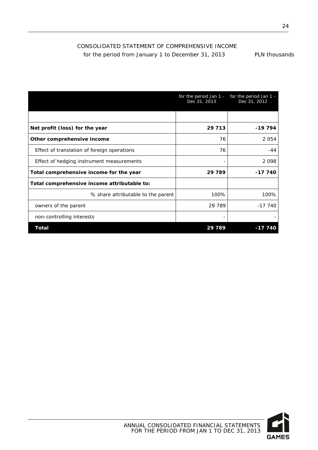### CONSOLIDATED STATEMENT OF COMPREHENSIVE INCOME for the period from January 1 to December 31, 2013 PLN thousands

|                                             | for the period Jan 1 -<br>Dec 31, 2013 | for the period Jan 1 -<br>Dec 31, 2012 |
|---------------------------------------------|----------------------------------------|----------------------------------------|
|                                             |                                        |                                        |
| Net profit (loss) for the year              | 29 7 13                                | $-19794$                               |
| Other comprehensive income                  | 76                                     | 2 0 5 4                                |
| Effect of translation of foreign operations | 76                                     | $-44$                                  |
| Effect of hedging instrument measurements   | $\overline{a}$                         | 2098                                   |
| Total comprehensive income for the year     | 29 789                                 | -17 740                                |
| Total comprehensive income attributable to: |                                        |                                        |
| % share attributable to the parent          | 100%                                   | 100%                                   |
| owners of the parent                        | 29 789                                 | $-17,740$                              |
| non-controlling interests                   | -                                      |                                        |
| Total                                       | 29 789                                 | $-177$                                 |

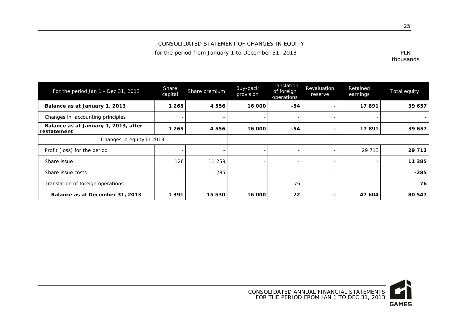CONSOLIDATED STATEMENT OF CHANGES IN EQUITY

for the period from January 1 to December 31, 2013 **PLN** 

thousands

| For the period Jan 1 - Dec 31, 2013                 | <b>Share</b><br>capital | Share premium | Buy-back<br>provision | Translation<br>of foreign<br>operations | Revaluation<br>reserve | Retained<br>earnings | Total equity |
|-----------------------------------------------------|-------------------------|---------------|-----------------------|-----------------------------------------|------------------------|----------------------|--------------|
| Balance as at January 1, 2013                       | 1 265                   | 4556          | 16 000                | -54                                     |                        | 17891                | 39 657       |
| Changes in accounting principles                    |                         |               |                       |                                         |                        |                      |              |
| Balance as at January 1, 2013, after<br>restatement | 1 265                   | 4 5 5 6       | 16 000                | -54                                     |                        | 17891                | 39 657       |
| Changes in equity in 2013                           |                         |               |                       |                                         |                        |                      |              |
| Profit (loss) for the period                        |                         |               |                       |                                         |                        | 29 7 13              | 29 7 13      |
| Share issue                                         | 126                     | 11 259        |                       |                                         |                        |                      | 11 3 8 5     |
| Share issue costs                                   |                         | $-285$        |                       | ۰                                       |                        |                      | $-285$       |
| Translation of foreign operations                   |                         |               |                       | 76                                      |                        |                      | 76           |
| Balance as at December 31, 2013                     | 1 3 9 1                 | 15 530        | 16 000                | 22                                      |                        | 47 604               | 80 547       |

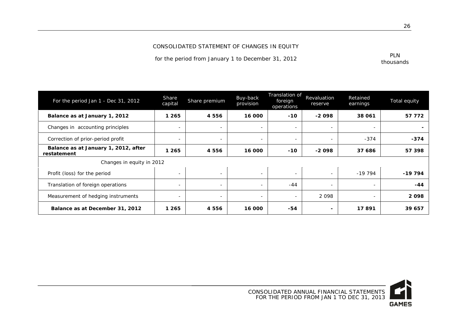#### CONSOLIDATED STATEMENT OF CHANGES IN EQUITY

for the period from January 1 to December 31, 2012

| PLN       |
|-----------|
| thousands |

| For the period Jan 1 - Dec 31, 2012                 | Share<br>capital         | Share premium            | Buy-back<br>provision    | Translation of<br>foreign<br>operations | Revaluation<br>reserve   | Retained<br>earnings     | Total equity |
|-----------------------------------------------------|--------------------------|--------------------------|--------------------------|-----------------------------------------|--------------------------|--------------------------|--------------|
| Balance as at January 1, 2012                       | 1 265                    | 4 5 5 6                  | 16 000                   | $-10$                                   | $-2098$                  | 38 061                   | 57 772       |
| Changes in accounting principles                    | $\overline{\phantom{0}}$ |                          | $\overline{\phantom{0}}$ | $\overline{\phantom{a}}$                | $\overline{\phantom{a}}$ | -                        |              |
| Correction of prior-period profit                   | $\overline{\phantom{a}}$ |                          | $\sim$                   | $\overline{\phantom{a}}$                | $\sim$                   | $-374$                   | $-374$       |
| Balance as at January 1, 2012, after<br>restatement | 1 265                    | 4 5 5 6                  | 16 000                   | $-10$                                   | $-2098$                  | 37 686                   | 57 398       |
| Changes in equity in 2012                           |                          |                          |                          |                                         |                          |                          |              |
| Profit (loss) for the period                        | ۰                        | $\overline{\phantom{a}}$ | $\overline{\phantom{a}}$ | $\overline{\phantom{a}}$                | $\overline{\phantom{a}}$ | $-19794$                 | $-19794$     |
| Translation of foreign operations                   | $\overline{\phantom{a}}$ | $\overline{\phantom{0}}$ | $\overline{\phantom{a}}$ | $-44$                                   | $\sim$                   | $\sim$                   | $-44$        |
| Measurement of hedging instruments                  | $\overline{\phantom{a}}$ | $\overline{\phantom{a}}$ | $\overline{\phantom{a}}$ | $\overline{\phantom{a}}$                | 2 0 9 8                  | $\overline{\phantom{a}}$ | 2098         |
| Balance as at December 31, 2012                     | 1 265                    | 4 5 5 6                  | 16 000                   | $-54$                                   | $\blacksquare$           | 17891                    | 39 657       |

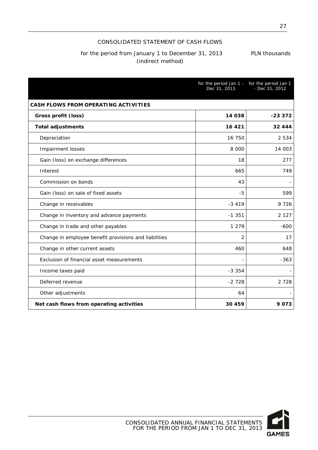#### CONSOLIDATED STATEMENT OF CASH FLOWS

### for the period from January 1 to December 31, 2013 PLN thousands (indirect method)

|                                                       | for the period Jan 1 - for the period Jan 1<br>Dec 31, 2013 | $-$ Dec 31, 2012 |
|-------------------------------------------------------|-------------------------------------------------------------|------------------|
| CASH FLOWS FROM OPERATING ACTIVITIES                  |                                                             |                  |
| Gross profit (loss)                                   | 14 038                                                      | $-233372$        |
| <b>Total adjustments</b>                              | 16 4 21                                                     | 32 444           |
| Depreciation                                          | 16 750                                                      | 2 5 3 4          |
| Impairment losses                                     | 8 0 0 0                                                     | 14 003           |
| Gain (loss) on exchange differences                   | 18                                                          | 277              |
| Interest                                              | 665                                                         | 749              |
| Commission on bonds                                   | 43                                                          |                  |
| Gain (loss) on sale of fixed assets                   | -5                                                          | 599              |
| Change in receivables                                 | $-3419$                                                     | 9 7 2 6          |
| Change in inventory and advance payments              | $-1.351$                                                    | 2 1 2 7          |
| Change in trade and other payables                    | 1 2 7 9                                                     | $-600$           |
| Change in employee benefit provisions and liabilities | 2                                                           | 17               |
| Change in other current assets                        | 460                                                         | 648              |
| Exclusion of financial asset measurements             |                                                             | $-363$           |
| Income taxes paid                                     | $-3.354$                                                    |                  |
| Deferred revenue                                      | $-2728$                                                     | 2 7 2 8          |
| Other adjustments                                     | 64                                                          |                  |
| Net cash flows from operating activities              | 30 459                                                      | 9073             |

CONSOLIDATED ANNUAL FINANCIAL STATEMENTS FOR THE PERIOD FROM JAN 1 TO DEC 31, 2013



27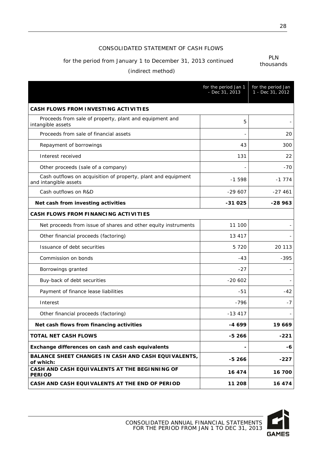#### CONSOLIDATED STATEMENT OF CASH FLOWS

## for the period from January 1 to December 31, 2013 continued **PLN**

thousands

### (indirect method)

|                                                                                        | for the period Jan 1<br>- Dec 31, 2013 | for the period Jan<br>1 - Dec 31, 2012 |
|----------------------------------------------------------------------------------------|----------------------------------------|----------------------------------------|
| <b>CASH FLOWS FROM INVESTING ACTIVITIES</b>                                            |                                        |                                        |
| Proceeds from sale of property, plant and equipment and<br>intangible assets           | 5                                      |                                        |
| Proceeds from sale of financial assets                                                 |                                        | 20                                     |
| Repayment of borrowings                                                                | 43                                     | 300                                    |
| Interest received                                                                      | 131                                    | 22                                     |
| Other proceeds (sale of a company)                                                     |                                        | -70                                    |
| Cash outflows on acquisition of property, plant and equipment<br>and intangible assets | $-1598$                                | $-1$ 774                               |
| Cash outflows on R&D                                                                   | $-29607$                               | $-27461$                               |
| Net cash from investing activities                                                     | $-31025$                               | $-28963$                               |
| <b>CASH FLOWS FROM FINANCING ACTIVITIES</b>                                            |                                        |                                        |
| Net proceeds from issue of shares and other equity instruments                         | 11 100                                 |                                        |
| Other financial proceeds (factoring)                                                   | 13 417                                 |                                        |
| Issuance of debt securities                                                            | 5 7 2 0                                | 20 113                                 |
| Commission on bonds                                                                    | $-43$                                  | $-395$                                 |
| Borrowings granted                                                                     | $-27$                                  |                                        |
| Buy-back of debt securities                                                            | $-20602$                               |                                        |
| Payment of finance lease liabilities                                                   | -51                                    | $-42$                                  |
| Interest                                                                               | $-796$                                 | -7                                     |
| Other financial proceeds (factoring)                                                   | $-13417$                               |                                        |
| Net cash flows from financing activities                                               | -4 699                                 | 19 669                                 |
| <b>TOTAL NET CASH FLOWS</b>                                                            | $-5266$                                | $-221$                                 |
| Exchange differences on cash and cash equivalents                                      |                                        | -6                                     |
| <b>BALANCE SHEET CHANGES IN CASH AND CASH EQUIVALENTS,</b><br>of which:                | $-5266$                                | -227                                   |
| CASH AND CASH EQUIVALENTS AT THE BEGINNING OF<br><b>PERIOD</b>                         | 16 474                                 | 16 700                                 |
| CASH AND CASH EQUIVALENTS AT THE END OF PERIOD                                         | 11 208                                 | 16 474                                 |

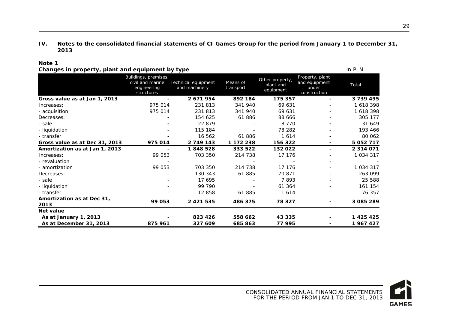#### **IV. Notes to the consolidated financial statements of CI Games Group for the period from January 1 to December 31, 2013**

#### **Note 1**

<span id="page-29-0"></span>

|                                    | Buildings, premises,<br>civil and marine<br>engineering<br>structures | Technical equipment<br>and machinery | Means of<br>transport | Other property,<br>plant and<br>equipment | Property, plant<br>and equipment<br>under<br>construction | Total         |
|------------------------------------|-----------------------------------------------------------------------|--------------------------------------|-----------------------|-------------------------------------------|-----------------------------------------------------------|---------------|
| Gross value as at Jan 1, 2013      |                                                                       | 2 671 954                            | 892 184               | 175 357                                   |                                                           | 3739495       |
| Increases:                         | 975 014                                                               | 231 813                              | 341 940               | 69 631                                    |                                                           | 1 618 398     |
| - acquisition                      | 975 014                                                               | 231 813                              | 341 940               | 69 631                                    |                                                           | 1 618 398     |
| Decreases:                         |                                                                       | 154 625                              | 61886                 | 88 666                                    |                                                           | 305 177       |
| - sale                             |                                                                       | 22 879                               |                       | 8 7 7 0                                   |                                                           | 31 649        |
| - liquidation                      |                                                                       | 115 184                              |                       | 78 282                                    |                                                           | 193 466       |
| - transfer                         |                                                                       | 16 562                               | 61886                 | 1614                                      |                                                           | 80 062        |
| Gross value as at Dec 31, 2013     | 975 014                                                               | 2 749 143                            | 1 172 238             | 156 322                                   | $\blacksquare$                                            | 5 0 5 2 7 1 7 |
| Amortization as at Jan 1, 2013     |                                                                       | 1848528                              | 333 522               | 132 022                                   |                                                           | 2 3 1 4 0 7 1 |
| Increases:                         | 99 053                                                                | 703 350                              | 214 738               | 17 176                                    |                                                           | 1 0 34 3 17   |
| - revaluation                      |                                                                       |                                      |                       |                                           | $\overline{\phantom{a}}$                                  |               |
| - amortization                     | 99 053                                                                | 703 350                              | 214 738               | 17 176                                    |                                                           | 1 0 34 3 17   |
| Decreases:                         |                                                                       | 130 343                              | 61 885                | 70 871                                    |                                                           | 263 099       |
| - sale                             |                                                                       | 17 695                               |                       | 7893                                      |                                                           | 25 588        |
| - liquidation                      |                                                                       | 99 790                               |                       | 61 364                                    |                                                           | 161 154       |
| - transfer                         |                                                                       | 12 858                               | 61885                 | 1614                                      | $\sim$                                                    | 76 357        |
| Amortization as at Dec 31,<br>2013 | 99 053                                                                | 2 4 2 1 5 3 5                        | 486 375               | 78 327                                    |                                                           | 3 085 289     |
| Net value                          |                                                                       |                                      |                       |                                           |                                                           |               |
| As at January 1, 2013              |                                                                       | 823 426                              | 558 662               | 43 335                                    |                                                           | 1 4 2 5 4 2 5 |
| As at December 31, 2013            | 875 961                                                               | 327 609                              | 685863                | 77 995                                    |                                                           | 1967427       |

**Changes in property, plant and equipment by type** in the set of the set of the set of the PLN



29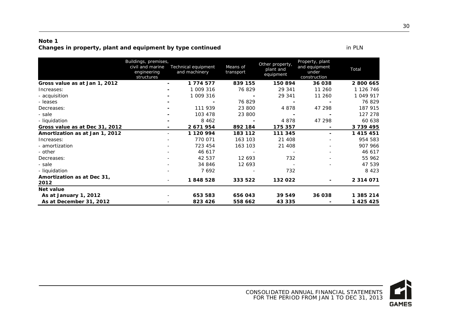#### **Note 1 Changes in property, plant and equipment by type continued in PLN** in PLN

|                                    | Buildings, premises,<br>civil and marine<br>engineering<br>structures | Technical equipment<br>and machinery | Means of<br>transport | Other property,<br>plant and<br>equipment | Property, plant<br>and equipment<br>under<br>construction | Total         |
|------------------------------------|-----------------------------------------------------------------------|--------------------------------------|-----------------------|-------------------------------------------|-----------------------------------------------------------|---------------|
| Gross value as at Jan 1, 2012      | $\blacksquare$                                                        | 1 774 577                            | 839 155               | 150894                                    | 36 038                                                    | 2 800 665     |
| Increases:                         | -                                                                     | 1 009 316                            | 76 829                | 29 341                                    | 11 260                                                    | 1 126 746     |
| - acquisition                      |                                                                       | 1 009 316                            |                       | 29 341                                    | 11 260                                                    | 1 049 917     |
| - leases                           |                                                                       |                                      | 76 829                |                                           |                                                           | 76829         |
| Decreases:                         |                                                                       | 111 939                              | 23 800                | 4878                                      | 47 298                                                    | 187 915       |
| - sale                             |                                                                       | 103 478                              | 23 800                |                                           |                                                           | 127 278       |
| - liquidation                      |                                                                       | 8 4 6 2                              |                       | 4 8 7 8                                   | 47 298                                                    | 60 638        |
| Gross value as at Dec 31, 2012     |                                                                       | 2 671 954                            | 892 184               | 175 357                                   |                                                           | 3 739 495     |
| Amortization as at Jan 1, 2012     | Ξ.                                                                    | 1 120 994                            | 183 112               | 111 345                                   | -                                                         | 1 4 1 5 4 5 1 |
| Increases:                         |                                                                       | 770 071                              | 163 103               | 21 408                                    |                                                           | 954 583       |
| - amortization                     |                                                                       | 723 454                              | 163 103               | 21 408                                    |                                                           | 907 966       |
| - other                            |                                                                       | 46 617                               |                       |                                           |                                                           | 46 617        |
| Decreases:                         |                                                                       | 42 537                               | 12 693                | 732                                       |                                                           | 55 962        |
| - sale                             |                                                                       | 34 846                               | 12 693                |                                           |                                                           | 47 539        |
| - liquidation                      |                                                                       | 7692                                 |                       | 732                                       |                                                           | 8 4 2 3       |
| Amortization as at Dec 31,<br>2012 |                                                                       | 1848528                              | 333 522               | 132 022                                   |                                                           | 2 3 1 4 0 7 1 |
| Net value                          |                                                                       |                                      |                       |                                           |                                                           |               |
| As at January 1, 2012              |                                                                       | 653 583                              | 656 043               | 39 549                                    | 36 038                                                    | 1 385 214     |
| As at December 31, 2012            |                                                                       | 823 426                              | 558 662               | 43 335                                    |                                                           | 1 425 425     |

**GAMES**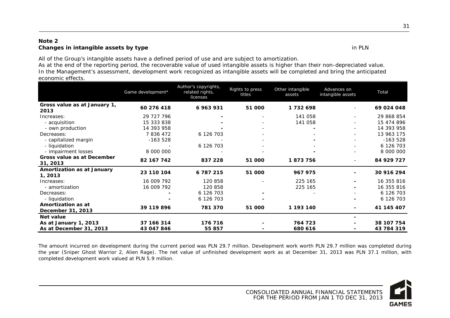#### **Note 2 Changes in intangible assets by type** in PLN

All of the Group's intangible assets have a defined period of use and are subject to amortization.

As at the end of the reporting period, the recoverable value of used intangible assets is higher than their non-depreciated value. In the Management's assessment, development work recognized as intangible assets will be completed and bring the anticipated economic effects.

|                                         | Game development*        | Author's copyrights,<br>related rights,<br>licenses | Rights to press<br>titles | Other intangible<br>assets | Advances on<br>intangible assets | Total      |
|-----------------------------------------|--------------------------|-----------------------------------------------------|---------------------------|----------------------------|----------------------------------|------------|
| Gross value as at January 1,<br>2013    | 60 276 418               | 6 963 931                                           | 51 000                    | 1732698                    |                                  | 69 024 048 |
| Increases:                              | 29 727 796               |                                                     | $\overline{\phantom{a}}$  | 141 058                    | $\overline{\phantom{a}}$         | 29 868 854 |
| - acquisition                           | 15 333 838               |                                                     | -                         | 141 058                    |                                  | 15 474 896 |
| - own production                        | 14 393 958               |                                                     |                           |                            |                                  | 14 393 958 |
| Decreases:                              | 7836472                  | 6 126 703                                           |                           |                            |                                  | 13 963 175 |
| - capitalized margin                    | $-163528$                |                                                     |                           |                            |                                  | $-163528$  |
| - liquidation                           |                          | 6 126 703                                           |                           |                            |                                  | 6 126 703  |
| - impairment losses                     | 8 000 000                |                                                     |                           |                            |                                  | 8 000 000  |
| Gross value as at December<br>31, 2013  | 82 167 742               | 837 228                                             | 51 000                    | 1873756                    | $\sim$                           | 84 929 727 |
| Amortization as at January<br>1, 2013   | 23 110 104               | 6 787 215                                           | 51 000                    | 967 975                    |                                  | 30 916 294 |
| Increases:                              | 16 009 792               | 120 858                                             |                           | 225 165                    |                                  | 16 355 816 |
| - amortization                          | 16 009 792               | 120 858                                             |                           | 225 165                    |                                  | 16 355 816 |
| Decreases:                              |                          | 6 126 703                                           |                           |                            |                                  | 6 126 703  |
| - liquidation                           | $\overline{\phantom{0}}$ | 6 126 703                                           |                           |                            |                                  | 6 126 703  |
| Amortization as at<br>December 31, 2013 | 39 119 896               | 781 370                                             | 51 000                    | 1 193 140                  |                                  | 41 145 407 |
| Net value                               |                          |                                                     |                           |                            |                                  |            |
| As at January 1, 2013                   | 37 166 314               | 176 716                                             |                           | 764 723                    |                                  | 38 107 754 |
| As at December 31, 2013                 | 43 047 846               | 55 857                                              |                           | 680 616                    |                                  | 43 784 319 |

The amount incurred on development during the current period was PLN 29.7 million. Development work worth PLN 29.7 million was completed during the year (Sniper Ghost Warrior 2, Alien Rage). The net value of unfinished development work as at December 31, 2013 was PLN 37.1 million, with completed development work valued at PLN 5.9 million.

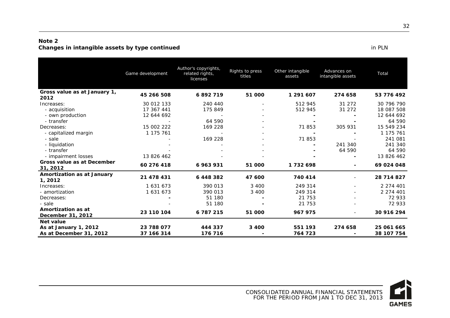#### **Note 2 Changes in intangible assets by type continued in PLN**

|                                         | Game development | Author's copyrights,<br>related rights,<br>licenses | Rights to press<br>titles | Other intangible<br>assets | Advances on<br>intangible assets | Total      |
|-----------------------------------------|------------------|-----------------------------------------------------|---------------------------|----------------------------|----------------------------------|------------|
| Gross value as at January 1,<br>2012    | 45 266 508       | 6892719                                             | 51 000                    | 1 291 607                  | 274 658                          | 53 776 492 |
| Increases:                              | 30 012 133       | 240 440                                             |                           | 512 945                    | 31 27 2                          | 30 796 790 |
| - acquisition                           | 17 367 441       | 175 849                                             |                           | 512 945                    | 31 272                           | 18 087 508 |
| - own production                        | 12 644 692       |                                                     |                           |                            |                                  | 12 644 692 |
| - transfer                              |                  | 64 590                                              |                           |                            |                                  | 64 590     |
| Decreases:                              | 15 002 222       | 169 228                                             |                           | 71853                      | 305 931                          | 15 549 234 |
| - capitalized margin                    | 1 175 761        |                                                     |                           |                            |                                  | 1 175 761  |
| - sale                                  |                  | 169 228                                             |                           | 71 853                     |                                  | 241 081    |
| - liquidation                           |                  |                                                     |                           |                            | 241 340                          | 241 340    |
| - transfer                              |                  |                                                     |                           |                            | 64 590                           | 64 590     |
| - impairment losses                     | 13 826 462       |                                                     |                           |                            |                                  | 13 826 462 |
| Gross value as at December<br>31, 2012  | 60 276 418       | 6 963 931                                           | 51 000                    | 1732698                    | -                                | 69 024 048 |
| Amortization as at January<br>1, 2012   | 21 478 431       | 6448382                                             | 47 600                    | 740 414                    |                                  | 28 714 827 |
| Increases:                              | 1 631 673        | 390 013                                             | 3 4 0 0                   | 249 314                    |                                  | 2 274 401  |
| - amortization                          | 1 631 673        | 390 013                                             | 3 4 0 0                   | 249 314                    |                                  | 2 274 401  |
| Decreases:                              |                  | 51 180                                              |                           | 21 753                     |                                  | 72 933     |
| - sale                                  |                  | 51 180                                              |                           | 21 753                     |                                  | 72 933     |
| Amortization as at<br>December 31, 2012 | 23 110 104       | 6 787 215                                           | 51 000                    | 967 975                    | $\overline{\phantom{a}}$         | 30 916 294 |
| Net value                               |                  |                                                     |                           |                            |                                  |            |
| As at January 1, 2012                   | 23 788 077       | 444 337                                             | 3 4 0 0                   | 551 193                    | 274 658                          | 25 061 665 |
| As at December 31, 2012                 | 37 166 314       | 176 716                                             |                           | 764 723                    |                                  | 38 107 754 |

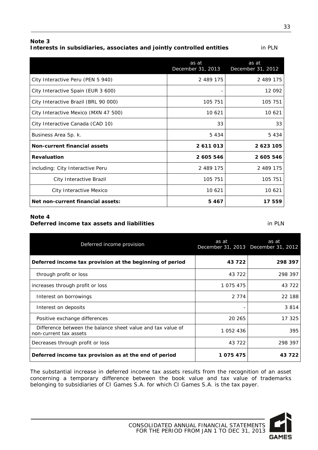#### **Note 3 Interests in subsidiaries, associates and jointly controlled entities** in PLN

|                                      | as at<br>December 31, 2013 | as at<br>December 31, 2012 |
|--------------------------------------|----------------------------|----------------------------|
| City Interactive Peru (PEN 5 940)    | 2 489 175                  | 2 489 175                  |
| City Interactive Spain (EUR 3 600)   |                            | 12 092                     |
| City Interactive Brazil (BRL 90 000) | 105 751                    | 105 751                    |
| City Interactive Mexico (MXN 47 500) | 10 621                     | 10 621                     |
| City Interactive Canada (CAD 10)     | 33                         | 33                         |
| Business Area Sp. k.                 | 5 4 3 4                    | 5 4 3 4                    |
| Non-current financial assets         | 2 611 013                  | 2 623 105                  |
| <b>Revaluation</b>                   | 2 605 546                  | 2 605 546                  |
| including: City Interactive Peru     | 2 489 175                  | 2 489 175                  |
| City Interactive Brazil              | 105 751                    | 105 751                    |
| City Interactive Mexico              | 10 621                     | 10 621                     |
| Net non-current financial assets:    | 5467                       | 17 559                     |

#### **Note 4**

### **Deferred income tax assets and liabilities** in PLN

| Deferred income provision                                                             | as at     | as at<br>December 31, 2013 December 31, 2012 |
|---------------------------------------------------------------------------------------|-----------|----------------------------------------------|
| Deferred income tax provision at the beginning of period                              | 43 722    | 298 397                                      |
| through profit or loss                                                                | 43 722    | 298 397                                      |
| increases through profit or loss                                                      | 1 075 475 | 43 7 22                                      |
| Interest on borrowings                                                                | 2 7 7 4   | 22 188                                       |
| Interest on deposits                                                                  |           | 3 8 1 4                                      |
| Positive exchange differences                                                         | 20 265    | 17 325                                       |
| Difference between the balance sheet value and tax value of<br>non-current tax assets | 1 052 436 | 395                                          |
| Decreases through profit or loss                                                      | 43 722    | 298 397                                      |
| Deferred income tax provision as at the end of period                                 | 1075475   | 43 722                                       |

The substantial increase in deferred income tax assets results from the recognition of an asset concerning a temporary difference between the book value and tax value of trademarks belonging to subsidiaries of CI Games S.A. for which CI Games S.A. is the tax payer.

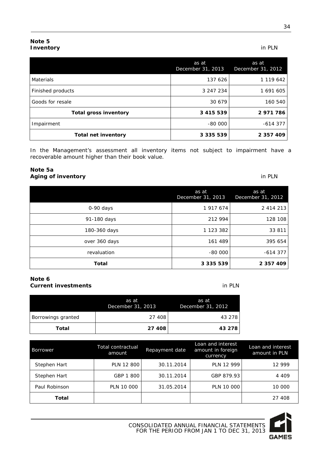#### **Note 5 Inventory** in PLN

|                              | as at<br>December 31, 2013 | as at<br>December 31, 2012 |
|------------------------------|----------------------------|----------------------------|
| Materials                    | 137 626                    | 1 119 642                  |
| Finished products            | 3 247 234                  | 1 691 605                  |
| Goods for resale             | 30 679                     | 160 540                    |
| <b>Total gross inventory</b> | 3 4 1 5 5 3 9              | 2971786                    |
| Impairment                   | $-80000$                   | $-614377$                  |
| <b>Total net inventory</b>   | 3 3 3 5 5 3 9              | 2 357 409                  |

In the Management's assessment all inventory items not subject to impairment have a recoverable amount higher than their book value.

#### **Note 5a Aging of inventory** in PLN

|               | as at<br>December 31, 2013 | as at<br>December 31, 2012 |
|---------------|----------------------------|----------------------------|
| 0-90 days     | 1 917 674                  | 2 414 213                  |
| 91-180 days   | 212 994                    | 128 108                    |
| 180-360 days  | 1 123 382                  | 33 811                     |
| over 360 days | 161 489                    | 395 654                    |
| revaluation   | $-80000$                   | $-614377$                  |
| Total         | 3 3 3 5 5 3 9              | 2 357 409                  |

#### **Note 6 Current investments** in PLN

| Borrowings granted | 27 408                     | 43 278                     |
|--------------------|----------------------------|----------------------------|
|                    | as at<br>December 31, 2013 | as at<br>December 31, 2012 |

| Borrower      | Total contractual<br>amount | Repayment date | Loan and interest<br>amount in foreign<br>currency | Loan and interest<br>amount in PLN |
|---------------|-----------------------------|----------------|----------------------------------------------------|------------------------------------|
| Stephen Hart  | PLN 12 800                  | 30.11.2014     | <b>PLN 12 999</b>                                  | 12 999                             |
| Stephen Hart  | GBP 1 800                   | 30.11.2014     | GBP 879.93                                         | 4 4 0 9                            |
| Paul Robinson | PLN 10 000                  | 31.05.2014     | PLN 10 000                                         | 10 000                             |
| Total         |                             |                |                                                    | 27 408                             |

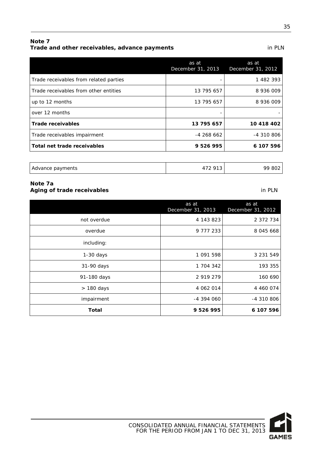#### **Note 7 Trade and other receivables, advance payments** in PLN

|                                        | as at<br>December 31, 2013 | as at<br>December 31, 2012 |
|----------------------------------------|----------------------------|----------------------------|
| Trade receivables from related parties |                            | 1 482 393                  |
| Trade receivables from other entities  | 13 795 657                 | 8 936 009                  |
| up to 12 months                        | 13 795 657                 | 8 936 009                  |
| over 12 months                         |                            |                            |
| <b>Trade receivables</b>               | 13 795 657                 | 10 418 402                 |
| Trade receivables impairment           | $-4268662$                 | $-4310806$                 |
| Total net trade receivables            | 9 526 995                  | 6 107 596                  |
|                                        |                            |                            |

#### **Note 7a Aging of trade receivables** in PLN

|             | as at<br>December 31, 2013 | as at<br>December 31, 2012 |
|-------------|----------------------------|----------------------------|
| not overdue | 4 143 823                  | 2 372 734                  |
| overdue     | 9 777 233                  | 8 045 668                  |
| including:  |                            |                            |
| $1-30$ days | 1 091 598                  | 3 2 3 1 5 4 9              |
| 31-90 days  | 1 704 342                  | 193 355                    |
| 91-180 days | 2 919 279                  | 160 690                    |
| > 180 days  | 4 062 014                  | 4 460 074                  |
| impairment  | -4 394 060                 | -4 310 806                 |
| Total       | 9 526 995                  | 6 107 596                  |

## Advance payments 199802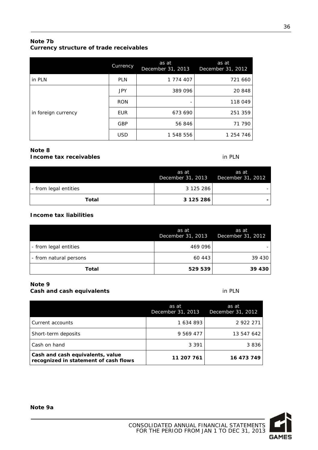#### **Note 7b Currency structure of trade receivables**

|                     | Currency   | as at<br>December 31, 2013 | as at<br>December 31, 2012 |
|---------------------|------------|----------------------------|----------------------------|
| in PLN              | <b>PLN</b> | 1 774 407                  | 721 660                    |
| in foreign currency | <b>JPY</b> | 389 096                    | 20 848                     |
|                     | <b>RON</b> |                            | 118 049                    |
|                     | <b>EUR</b> | 673 690                    | 251 359                    |
|                     | <b>GBP</b> | 56 846                     | 71 790                     |
|                     | <b>USD</b> | 1 548 556                  | 1 254 746                  |

#### **Note 8 Income tax receivables** in PLN

| Total                 | 3 125 286                                    |       |
|-----------------------|----------------------------------------------|-------|
| - from legal entities | 3 125 286                                    |       |
|                       | as at<br>December 31, 2013 December 31, 2012 | as at |

#### **Income tax liabilities**

|                        | as at<br>December 31, 2013 | as at<br>December 31, 2012 |
|------------------------|----------------------------|----------------------------|
| - from legal entities  | 469 096                    |                            |
| - from natural persons | 60 443                     | 39 430                     |
| Total                  | 529 539                    | 39 430                     |

#### **Note 9 Cash and cash equivalents** in PLN

|                                                                           | as at<br>December 31, 2013 | as at<br>December 31, 2012 |
|---------------------------------------------------------------------------|----------------------------|----------------------------|
| Current accounts                                                          | 1 634 893                  | 2 922 271                  |
| Short-term deposits                                                       | 9 569 477                  | 13 547 642                 |
| Cash on hand                                                              | 3 3 9 1                    | 3836                       |
| Cash and cash equivalents, value<br>recognized in statement of cash flows | 11 207 761                 | 16 473 749                 |

36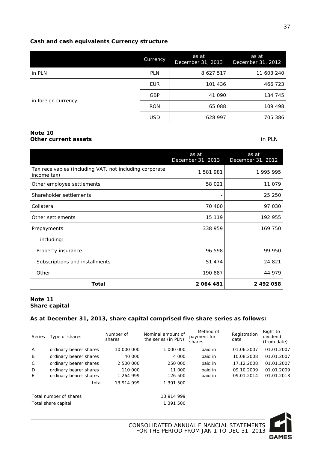#### **Cash and cash equivalents Currency structure**

|                     | Currency   | as at<br>December 31, 2013 | as at<br>December 31, 2012 |
|---------------------|------------|----------------------------|----------------------------|
| in PLN              | <b>PLN</b> | 8 627 517                  | 11 603 240                 |
| in foreign currency | <b>EUR</b> | 101 436                    | 466 723                    |
|                     | <b>GBP</b> | 41 090                     | 134 745                    |
|                     | <b>RON</b> | 65 088                     | 109 498                    |
|                     | <b>USD</b> | 628 997                    | 705 386                    |

#### **Note 10 Other current assets** in PLN

|                                                                        | as at<br>December 31, 2013 | as at<br>December 31, 2012 |
|------------------------------------------------------------------------|----------------------------|----------------------------|
| Tax receivables (including VAT, not including corporate<br>income tax) | 1 581 981                  | 1 995 995                  |
| Other employee settlements                                             | 58 021                     | 11 079                     |
| Shareholder settlements                                                |                            | 25 250                     |
| Collateral                                                             | 70 400                     | 97 030                     |
| Other settlements                                                      | 15 119                     | 192 955                    |
| Prepayments                                                            | 338 959                    | 169 750                    |
| including:                                                             |                            |                            |
| Property insurance                                                     | 96 598                     | 99 950                     |
| Subscriptions and installments                                         | 51 474                     | 24 821                     |
| Other                                                                  | 190 887                    | 44 979                     |
| Total                                                                  | 2064481                    | 2 492 058                  |

#### **Note 11 Share capital**

#### **As at December 31, 2013, share capital comprised five share series as follows:**

| Series | Type of shares         | Number of<br>shares | Nominal amount of<br>the series (in PLN) | Method of<br>payment for<br>shares | Registration<br>date | Right to<br>dividend<br>(from date) |
|--------|------------------------|---------------------|------------------------------------------|------------------------------------|----------------------|-------------------------------------|
| A      | ordinary bearer shares | 10 000 000          | 1 000 000                                | paid in                            | 01.06.2007           | 01.01.2007                          |
| B      | ordinary bearer shares | 40 000              | 4 000                                    | paid in                            | 10.08.2008           | 01.01.2007                          |
| C      | ordinary bearer shares | 2 500 000           | 250 000                                  | paid in                            | 17.12.2008           | 01.01.2007                          |
| D      | ordinary bearer shares | 110 000             | 11 000                                   | paid in                            | 09.10.2009           | 01.01.2009                          |
| E      | ordinary bearer shares | 1 264 999           | 126 500                                  | paid in                            | 09.01.2014           | 01.01.2013                          |
|        | total                  | 13 914 999          | 1 391 500                                |                                    |                      |                                     |
|        | Total number of shares |                     | 13 914 999                               |                                    |                      |                                     |
|        | Total share capital    |                     | 1 391 500                                |                                    |                      |                                     |

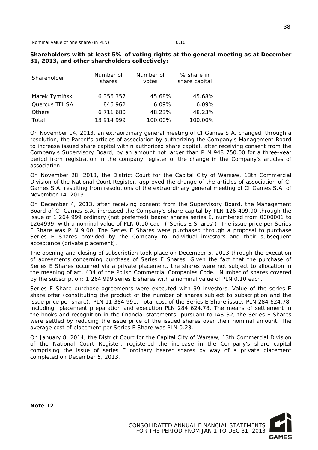Nominal value of one share (in PLN) 0,10

| Shareholder    | Number of<br>shares | Number of<br>votes | % share in<br>share capital |
|----------------|---------------------|--------------------|-----------------------------|
| Marek Tymiński | 6 356 357           | 45.68%             | 45.68%                      |
| Quercus TFI SA | 846 962             | 6.09%              | 6.09%                       |
| Others         | 6 711 680           | 48.23%             | 48.23%                      |
| Total          | 13 914 999          | 100.00%            | 100.00%                     |

#### **Shareholders with at least 5% of voting rights at the general meeting as at December 31, 2013, and other shareholders collectively:**

On November 14, 2013, an extraordinary general meeting of CI Games S.A. changed, through a resolution, the Parent's articles of association by authorizing the Company's Management Board to increase issued share capital within authorized share capital, after receiving consent from the Company's Supervisory Board, by an amount not larger than PLN 948 750.00 for a three-year period from registration in the company register of the change in the Company's articles of association.

On November 28, 2013, the District Court for the Capital City of Warsaw, 13th Commercial Division of the National Court Register, approved the change of the articles of association of CI Games S.A. resulting from resolutions of the extraordinary general meeting of CI Games S.A. of November 14, 2013.

On December 4, 2013, after receiving consent from the Supervisory Board, the Management Board of CI Games S.A. increased the Company's share capital by PLN 126 499.90 through the issue of 1 264 999 ordinary (not preferred) bearer shares series E, numbered from 0000001 to 1264999, with a nominal value of PLN 0.10 each ("Series E Shares"). The issue price per Series E Share was PLN 9.00. The Series E Shares were purchased through a proposal to purchase Series E Shares provided by the Company to individual investors and their subsequent acceptance (private placement).

The opening and closing of subscription took place on December 5, 2013 through the execution of agreements concerning purchase of Series E Shares. Given the fact that the purchase of Series E Shares occurred via a private placement, the shares were not subject to allocation in the meaning of art. 434 of the Polish Commercial Companies Code. Number of shares covered by the subscription: 1 264 999 series E shares with a nominal value of PLN 0.10 each.

Series E Share purchase agreements were executed with 99 investors. Value of the series E share offer (constituting the product of the number of shares subject to subscription and the issue price per share): PLN 11 384 991. Total cost of the Series E Share issue: PLN 284 624.78, including: placement preparation and execution PLN 284 624.78. The means of settlement in the books and recognition in the financial statements: pursuant to IAS 32, the Series E Shares were settled by reducing the issue price of the issued shares over their nominal amount. The average cost of placement per Series E Share was PLN 0.23.

On January 8, 2014, the District Court for the Capital City of Warsaw, 13th Commercial Division of the National Court Register, registered the increase in the Company's share capital comprising the issue of series E ordinary bearer shares by way of a private placement completed on December 5, 2013.

**Note 12**

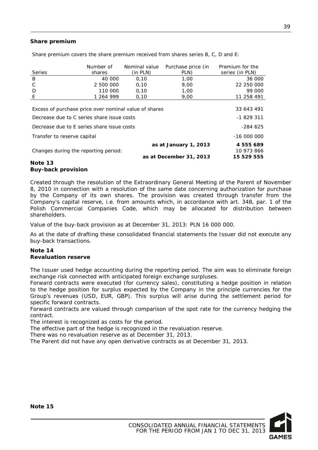#### **Share premium**

|                                                       | Number of | Nominal value | Purchase price (in      | Premium for the |
|-------------------------------------------------------|-----------|---------------|-------------------------|-----------------|
| Series                                                | shares    | (in PLN)      | PLN)                    | series (in PLN) |
| B                                                     | 40 000    | 0.10          | 1.00                    | 36 000          |
| C                                                     | 2 500 000 | 0.10          | 9.00                    | 22 250 000      |
| D                                                     | 110 000   | 0,10          | 1,00                    | 99 000          |
| E                                                     | 1 264 999 | 0,10          | 9,00                    | 11 258 491      |
|                                                       |           |               |                         |                 |
| Excess of purchase price over nominal value of shares |           |               |                         | 33 643 491      |
| Decrease due to C series share issue costs            |           |               |                         | $-1829311$      |
| Decrease due to E series share issue costs            |           |               |                         | $-284625$       |
| Transfer to reserve capital                           |           |               |                         | $-1600000$      |
|                                                       |           |               | as at January 1, 2013   | 4 555 689       |
| Changes during the reporting period:                  |           |               |                         | 10 973 866      |
|                                                       |           |               | as at December 31, 2013 | 15 529 555      |

Share premium covers the share premium received from shares series B, C, D and E:

#### **Note 13 Buy-back provision**

Created through the resolution of the Extraordinary General Meeting of the Parent of November 8, 2010 in connection with a resolution of the same date concerning authorization for purchase by the Company of its own shares. The provision was created through transfer from the Company's capital reserve, i.e. from amounts which, in accordance with art. 348, par. 1 of the Polish Commercial Companies Code, which may be allocated for distribution between shareholders.

Value of the buy-back provision as at December 31, 2013: PLN 16 000 000.

As at the date of drafting these consolidated financial statements the Issuer did not execute any buy-back transactions.

#### **Note 14 Revaluation reserve**

The Issuer used hedge accounting during the reporting period. The aim was to eliminate foreign exchange risk connected with anticipated foreign exchange surpluses.

Forward contracts were executed (for currency sales), constituting a hedge position in relation to the hedge position for surplus expected by the Company in the principle currencies for the Group's revenues (USD, EUR, GBP). This surplus will arise during the settlement period for specific forward contracts.

Forward contracts are valued through comparison of the spot rate for the currency hedging the contract.

The interest is recognized as costs for the period.

The effective part of the hedge is recognized in the revaluation reserve.

There was no revaluation reserve as at December 31, 2013.

The Parent did not have any open derivative contracts as at December 31, 2013.

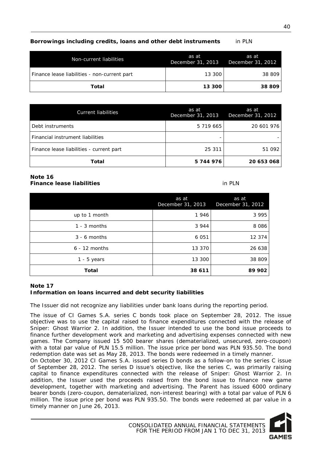### **Borrowings including credits, loans and other debt instruments** in PLN

| Non-current liabilities                      | as at<br>December 31, 2013 | as at<br>December 31, 2012 |
|----------------------------------------------|----------------------------|----------------------------|
| Finance lease liabilities - non-current part | 13 300                     | 38 809                     |
| Total                                        | 13 300                     | 38 809                     |

| <b>Current liabilities</b>               | as at<br>December 31, 2013 | as at<br>December 31, 2012 |
|------------------------------------------|----------------------------|----------------------------|
| Debt instruments                         | 5 719 665                  | 20 601 976                 |
| Financial instrument liabilities         |                            |                            |
| Finance lease liabilities - current part | 25 311                     | 51 092                     |
| Total                                    | 5744976                    | 20 653 068                 |

#### **Note 16 Finance lease liabilities** in PLN

|                 | as at<br>December 31, 2013 | as at<br>December 31, 2012 |
|-----------------|----------------------------|----------------------------|
| up to 1 month   | 1946                       | 3 9 9 5                    |
| $1 - 3$ months  | 3 9 4 4                    | 8 0 8 6                    |
| $3 - 6$ months  | 6 0 5 1                    | 12 374                     |
| $6 - 12$ months | 13 370                     | 26 638                     |
| $1 - 5$ years   | 13 300                     | 38 809                     |
| Total           | 38 611                     | 89 902                     |

#### **Note 17 Information on loans incurred and debt security liabilities**

The Issuer did not recognize any liabilities under bank loans during the reporting period.

The issue of CI Games S.A. series C bonds took place on September 28, 2012. The issue objective was to use the capital raised to finance expenditures connected with the release of Sniper: Ghost Warrior 2. In addition, the Issuer intended to use the bond issue proceeds to finance further development work and marketing and advertising expenses connected with new games. The Company issued 15 500 bearer shares (dematerialized, unsecured, zero-coupon) with a total par value of PLN 15.5 million. The issue price per bond was PLN 935.50. The bond redemption date was set as May 28, 2013. The bonds were redeemed in a timely manner.

On October 30, 2012 CI Games S.A. issued series D bonds as a follow-on to the series C issue of September 28, 2012. The series D issue's objective, like the series C, was primarily raising capital to finance expenditures connected with the release of Sniper: Ghost Warrior 2. In addition, the Issuer used the proceeds raised from the bond issue to finance new game development, together with marketing and advertising. The Parent has issued 6000 ordinary bearer bonds (zero-coupon, dematerialized, non-interest bearing) with a total par value of PLN 6 million. The issue price per bond was PLN 935.50. The bonds were redeemed at par value in a timely manner on June 26, 2013.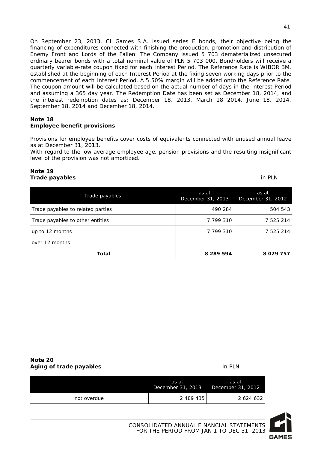On September 23, 2013, CI Games S.A. issued series E bonds, their objective being the financing of expenditures connected with finishing the production, promotion and distribution of Enemy Front and Lords of the Fallen. The Company issued 5 703 dematerialized unsecured ordinary bearer bonds with a total nominal value of PLN 5 703 000. Bondholders will receive a quarterly variable-rate coupon fixed for each Interest Period. The Reference Rate is WIBOR 3M, established at the beginning of each Interest Period at the fixing seven working days prior to the commencement of each Interest Period. A 5.50% margin will be added onto the Reference Rate. The coupon amount will be calculated based on the actual number of days in the Interest Period

and assuming a 365 day year. The Redemption Date has been set as December 18, 2014, and the interest redemption dates as: December 18, 2013, March 18 2014, June 18, 2014, September 18, 2014 and December 18, 2014.

#### **Note 18 Employee benefit provisions**

Provisions for employee benefits cover costs of equivalents connected with unused annual leave as at December 31, 2013.

With regard to the low average employee age, pension provisions and the resulting insignificant level of the provision was not amortized.

#### **Note 19 Trade payables** in PLN

| Trade payables                    | as at<br>December 31, 2013 | as at<br>December 31, 2012 |
|-----------------------------------|----------------------------|----------------------------|
| Trade payables to related parties | 490 284                    | 504 543                    |
| Trade payables to other entities  | 7 799 310                  | 7 525 214                  |
| up to 12 months                   | 7 799 310                  | 7 525 214                  |
| over 12 months                    |                            |                            |
| Total                             | 8 289 594                  | 8 0 29 7 5 7               |

| Note 20                 |        |
|-------------------------|--------|
| Aging of trade payables | in PLN |

|             | as at<br>December 31, 2013 | as at<br>December 31, 2012 |
|-------------|----------------------------|----------------------------|
| not overdue | 2 489 435                  | 2 624 632                  |

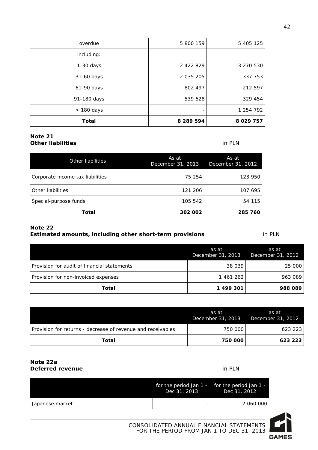| overdue     | 5 800 159     | 5 405 125    |
|-------------|---------------|--------------|
| including:  |               |              |
| 1-30 days   | 2 422 829     | 3 270 530    |
| 31-60 days  | 2 0 3 5 2 0 5 | 337 753      |
| 61-90 days  | 802 497       | 212 597      |
| 91-180 days | 539 628       | 329 454      |
| > 180 days  |               | 1 254 792    |
| Total       | 8 289 594     | 8 0 29 7 5 7 |

#### **Note 21 Other liabilities** in PLN

| Other liabilities                | As at<br>December 31, 2013 | As at<br>December 31, 2012 |
|----------------------------------|----------------------------|----------------------------|
| Corporate income tax liabilities | 75 254                     | 123 950                    |
| Other liabilities                | 121 206                    | 107 695                    |
| Special-purpose funds            | 105 542                    | 54 115                     |
| Total                            | 302 002                    | 285 760                    |

#### **Note 22**

#### **Estimated amounts, including other short-term provisions in PLN**

as at December 31, 2013 as at December 31, 2012 Provision for audit of financial statements 1990 25 000 Provision for non-invoiced expenses and the set of the 1 461 262 963 089 **Total 1 499 301 988 089** 

|                                                             | as at<br>December 31, 2013 | as at<br>December 31, 2012 |
|-------------------------------------------------------------|----------------------------|----------------------------|
| Provision for returns - decrease of revenue and receivables | 750 000                    | 623 223                    |
| Total                                                       | 750 000                    | 623 223                    |

#### **Note 22a Deferred revenue** in PLN

|                 | Dec 31, 2013 | for the period Jan $1 -$ for the period Jan $1 -$<br>Dec 31, 2012 |
|-----------------|--------------|-------------------------------------------------------------------|
| Japanese market |              | 2 060 000                                                         |

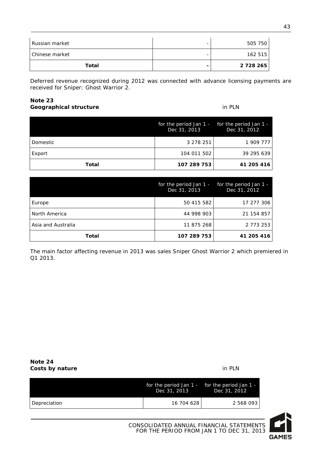| Russian market | - | 505 750       |
|----------------|---|---------------|
| Chinese market | - | 162 515       |
| Total          |   | 2 7 2 8 2 6 5 |

Deferred revenue recognized during 2012 was connected with advance licensing payments are received for Sniper: Ghost Warrior 2.

#### **Note 23 Geographical structure** in PLN

|          | for the period Jan 1 - for the period Jan 1 -<br>Dec 31, 2013 | Dec 31, 2012 |
|----------|---------------------------------------------------------------|--------------|
| Domestic | 3 278 251                                                     | 1 909 777    |
| Export   | 104 011 502                                                   | 39 295 639   |
| Total    | 107 289 753                                                   | 41 205 416   |

|                    | for the period Jan 1 -<br>Dec 31, 2013 | for the period Jan 1 -<br>Dec 31, 2012 |
|--------------------|----------------------------------------|----------------------------------------|
| Europe             | 50 415 582                             | 17 277 306                             |
| North America      | 44 998 903                             | 21 154 857                             |
| Asia and Australia | 11 875 268                             | 2 7 7 3 2 5 3                          |
| Total              | 107 289 753                            | 41 205 416                             |

The main factor affecting revenue in 2013 was sales Sniper Ghost Warrior 2 which premiered in Q1 2013.

| Note 24         |        |
|-----------------|--------|
| Costs by nature | in PLN |

|              | for the period Jan $1 -$ for the period Jan $1 -$<br>Dec 31, 2013 | Dec 31, 2012 |
|--------------|-------------------------------------------------------------------|--------------|
| Depreciation | 16 704 628                                                        | 2 568 093    |

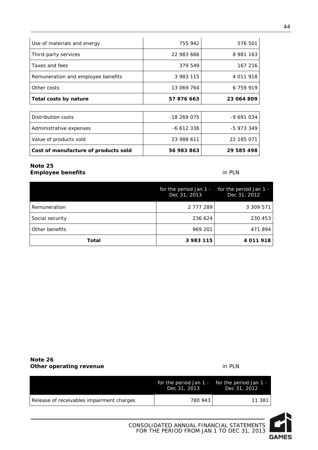| Use of materials and energy          | 755 942     | 576 501    |
|--------------------------------------|-------------|------------|
| Third-party services                 | 22 983 666  | 8 981 163  |
| Taxes and fees                       | 379 549     | 167 216    |
| Remuneration and employee benefits   | 3 983 115   | 4 011 918  |
| Other costs                          | 13 069 764  | 6 759 919  |
| Total costs by nature                | 57 876 663  | 23 064 809 |
|                                      |             |            |
| Distribution costs                   | $-18269075$ | -9 691 034 |
| Administrative expenses              | -6 612 336  | -5 973 349 |
| Value of products sold               | 23 988 611  | 22 185 071 |
| Cost of manufacture of products sold | 56 983 863  | 29 585 498 |

#### **Note 25 Employee benefits** in PLN

|                 | for the period Jan $1 -$ for the period Jan $1 -$<br>Dec 31, 2013 | Dec 31, 2012 |
|-----------------|-------------------------------------------------------------------|--------------|
| Remuneration    | 2 777 289                                                         | 3 309 571    |
| Social security | 236 624                                                           | 230 453      |
| Other benefits  | 969 201                                                           | 471894       |
| Total           | 3 983 115                                                         | 4 011 918    |

#### **Note 26 Other operating revenue in PLN**

|                                           | for the period Jan $1 -$ for the period Jan $1 -$<br>Dec 31, 2013 | Dec 31, 2012 |
|-------------------------------------------|-------------------------------------------------------------------|--------------|
| Release of receivables impairment charges | 780 943                                                           | 11 381 l     |



CONSOLIDATED ANNUAL FINANCIAL STATEMENTS FOR THE PERIOD FROM JAN 1 TO DEC 31, 2013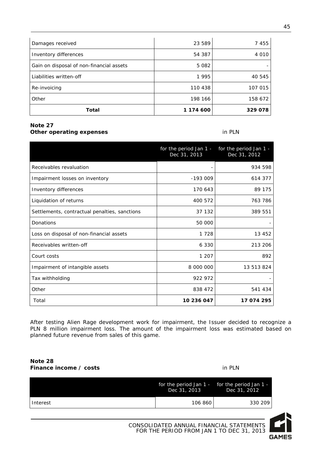| Damages received                         | 23 589    | 7 4 5 5 |
|------------------------------------------|-----------|---------|
| Inventory differences                    | 54 387    | 4 0 1 0 |
| Gain on disposal of non-financial assets | 5 0 8 2   |         |
| Liabilities written-off                  | 1995      | 40 545  |
| Re-invoicing                             | 110 438   | 107 015 |
| Other                                    | 198 166   | 158 672 |
| <b>Total</b>                             | 1 174 600 | 329 078 |

#### **Note 27 Other operating expenses** in PLN

|                                               | for the period Jan 1 -<br>Dec 31, 2013 | for the period Jan 1 -<br>Dec 31, 2012 |
|-----------------------------------------------|----------------------------------------|----------------------------------------|
| Receivables revaluation                       |                                        | 934 598                                |
| Impairment losses on inventory                | $-193009$                              | 614 377                                |
| Inventory differences                         | 170 643                                | 89 175                                 |
| Liquidation of returns                        | 400 572                                | 763 786                                |
| Settlements, contractual penalties, sanctions | 37 132                                 | 389 551                                |
| Donations                                     | 50 000                                 |                                        |
| Loss on disposal of non-financial assets      | 1 7 2 8                                | 13 452                                 |
| Receivables written-off                       | 6 3 3 0                                | 213 206                                |
| Court costs                                   | 1 207                                  | 892                                    |
| Impairment of intangible assets               | 8 000 000                              | 13 513 824                             |
| Tax withholding                               | 922 972                                |                                        |
| Other                                         | 838 472                                | 541 434                                |
| Total                                         | 10 236 047                             | 17 074 295                             |

After testing Alien Rage development work for impairment, the Issuer decided to recognize a PLN 8 million impairment loss. The amount of the impairment loss was estimated based on planned future revenue from sales of this game.

#### **Note 28 Finance income / costs** in PLN

|          | Dec 31, 2013 | for the period Jan $1 -$ for the period Jan $1 -$<br>Dec 31, 2012 |
|----------|--------------|-------------------------------------------------------------------|
| Interest | 106 860      | 330 209                                                           |

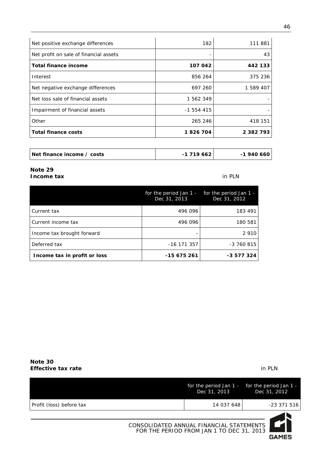| Net positive exchange differences      | 182        | 111 881   |
|----------------------------------------|------------|-----------|
| Net profit on sale of financial assets |            | 43        |
| <b>Total finance income</b>            | 107 042    | 442 133   |
| Interest                               | 856 264    | 375 236   |
| Net negative exchange differences      | 697 260    | 1 589 407 |
| Net loss sale of financial assets      | 1 562 349  |           |
| Impairment of financial assets         | $-1554415$ |           |
| Other                                  | 265 246    | 418 151   |
| <b>Total finance costs</b>             | 1826704    | 2 382 793 |

| Net finance income / costs | -1 719 662 | -1 940 660 |
|----------------------------|------------|------------|
|----------------------------|------------|------------|

#### **Note 29 Income tax** in PLN

|                              | for the period Jan 1 -<br>Dec 31, 2013 | for the period Jan 1 -<br>Dec 31, 2012 |
|------------------------------|----------------------------------------|----------------------------------------|
| Current tax                  | 496 096                                | 183 491                                |
| Current income tax           | 496 096                                | 180 581                                |
| Income tax brought forward   |                                        | 2 9 1 0                                |
| Deferred tax                 | $-16$ 171 357                          | $-3760815$                             |
| Income tax in profit or loss | -15 675 261                            | -3 577 324                             |

#### **Note 30 Effective tax rate** in PLN

|                          |                                                                                       | Dec 31, 2013 | for the period Jan 1 - for the period Jan 1 -<br>Dec 31, 2012 |
|--------------------------|---------------------------------------------------------------------------------------|--------------|---------------------------------------------------------------|
| Profit (loss) before tax |                                                                                       | 14 037 648   | -23 371 516                                                   |
|                          | CONSOLIDATED ANNUAL FINANCIAL STATEMENTS<br>FOR THE PERIOD FROM JAN 1 TO DEC 31, 2013 |              | M<br><b>GAMES</b>                                             |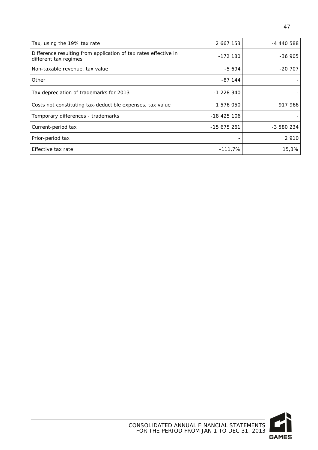| Tax, using the 19% tax rate                                                              | 2 667 153   | -4 440 588 |
|------------------------------------------------------------------------------------------|-------------|------------|
| Difference resulting from application of tax rates effective in<br>different tax regimes | $-172180$   | $-36905$   |
| Non-taxable revenue, tax value                                                           | $-5694$     | $-207$     |
| Other                                                                                    | -87 144     |            |
| Tax depreciation of trademarks for 2013                                                  | $-1228340$  |            |
| Costs not constituting tax-deductible expenses, tax value                                | 1 576 050   | 917 966    |
| Temporary differences - trademarks                                                       | -18 425 106 |            |
| Current-period tax                                                                       | $-15675261$ | $-3580234$ |
| Prior-period tax                                                                         |             | 2 9 1 0    |
| Effective tax rate                                                                       | $-111,7%$   | 15,3%      |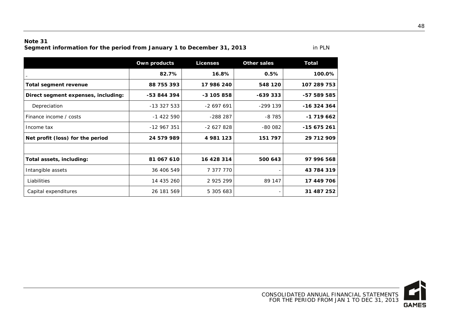#### **Note 31 Segment information for the period from January 1 to December 31, 2013** in PLN

**Own products Licenses Other sales Total 82.7% 16.8% 0.5% 100.0% Total segment revenue 88 755 393 17 986 240 548 120 107 289 753 Direct segment expenses, including: -53 844 394 -3 105 858 -639 333 -57 589 585** Depreciation -13 327 533 -2 697 691 -299 139 **-16 324 364** Finance income / costs  $\begin{vmatrix} 1 & 422 & 590 \end{vmatrix}$  -288 287 -8 785 -1 719 662 Income tax -12 967 351 -2 627 828 -80 082 **-15 675 261 Net profit (loss) for the period 24 579 989 4 981 123 151 797 29 712 909 Total assets, including: 81 067 610 16 428 314 500 643 97 996 568** Intangible assets 36 406 549 7 377 770 - **43 784 319** Liabilities 14 435 260 2 925 299 89 147 **17 449 706** Capital expenditures 26 181 569 5 305 683 - **31 487 252**



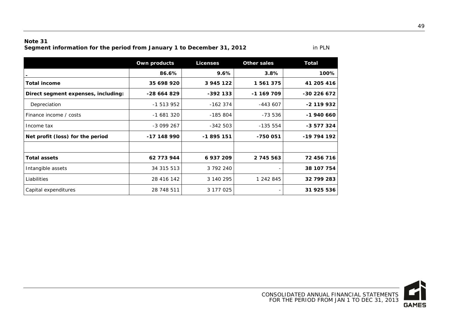#### **Note 31**

Segment information for the period from January 1 to December 31, 2012

|                                     | Own products | <b>Licenses</b> | <b>Other sales</b> | <b>Total</b> |
|-------------------------------------|--------------|-----------------|--------------------|--------------|
|                                     | 86.6%        | 9.6%            | 3.8%               | 100%         |
| <b>Total income</b>                 | 35 698 920   | 3 945 122       | 1 561 375          | 41 205 416   |
| Direct segment expenses, including: | -28 664 829  | $-392$ 133      | $-1$ 169 709       | $-30226672$  |
| Depreciation                        | $-1513952$   | $-162374$       | $-443607$          | $-2$ 119 932 |
| Finance income / costs              | -1 681 320   | $-185804$       | -73 536            | $-1940660$   |
| Income tax                          | $-3099267$   | $-342503$       | $-135554$          | $-3577324$   |
| Net profit (loss) for the period    | -17 148 990  | -1895 151       | -750 051           | $-19794192$  |
|                                     |              |                 |                    |              |
| <b>Total assets</b>                 | 62 773 944   | 6937209         | 2 745 563          | 72 456 716   |
| Intangible assets                   | 34 315 513   | 3 792 240       |                    | 38 107 754   |
| Liabilities                         | 28 416 142   | 3 140 295       | 1 242 845          | 32 799 283   |
| Capital expenditures                | 28 748 511   | 3 177 025       |                    | 31 925 536   |

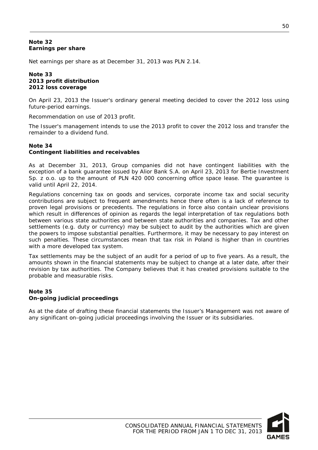#### **Note 32 Earnings per share**

Net earnings per share as at December 31, 2013 was PLN 2.14.

#### **Note 33 2013 profit distribution 2012 loss coverage**

On April 23, 2013 the Issuer's ordinary general meeting decided to cover the 2012 loss using future-period earnings.

Recommendation on use of 2013 profit.

The Issuer's management intends to use the 2013 profit to cover the 2012 loss and transfer the remainder to a dividend fund.

#### **Note 34 Contingent liabilities and receivables**

As at December 31, 2013, Group companies did not have contingent liabilities with the exception of a bank guarantee issued by Alior Bank S.A. on April 23, 2013 for Bertie Investment Sp. z o.o. up to the amount of PLN 420 000 concerning office space lease. The guarantee is valid until April 22, 2014.

Regulations concerning tax on goods and services, corporate income tax and social security contributions are subject to frequent amendments hence there often is a lack of reference to proven legal provisions or precedents. The regulations in force also contain unclear provisions which result in differences of opinion as regards the legal interpretation of tax regulations both between various state authorities and between state authorities and companies. Tax and other settlements (e.g. duty or currency) may be subject to audit by the authorities which are given the powers to impose substantial penalties. Furthermore, it may be necessary to pay interest on such penalties. These circumstances mean that tax risk in Poland is higher than in countries with a more developed tax system.

Tax settlements may be the subject of an audit for a period of up to five years. As a result, the amounts shown in the financial statements may be subject to change at a later date, after their revision by tax authorities. The Company believes that it has created provisions suitable to the probable and measurable risks.

#### **Note 35 On-going judicial proceedings**

As at the date of drafting these financial statements the Issuer's Management was not aware of any significant on-going judicial proceedings involving the Issuer or its subsidiaries.

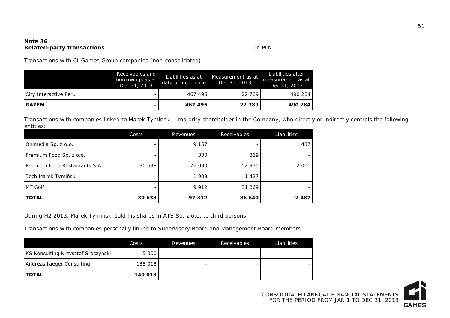#### **Note 36 Related-party transactions** in PLN

Transactions with CI Games Group companies (non-consolidated):

|                       | Receivables and<br>borrowings as at<br>Dec 31, 2013 | Liabilities as at<br>date of incurrence | Measurement as at<br>Dec 31, 2013 | Liabilities after<br>measurement as at<br>Dec 31, 2013 |
|-----------------------|-----------------------------------------------------|-----------------------------------------|-----------------------------------|--------------------------------------------------------|
| City Interactive Peru | -                                                   | 467 495                                 | 22 789                            | 490 284                                                |
| <b>RAZEM</b>          | -                                                   | 467 495                                 | 22 789                            | 490 284                                                |

Transactions with companies linked to Marek Tymiński – majority shareholder in the Company, who directly or indirectly controls the following entities:

|                               | Costs  | Revenues | Receivables | Liabilities |
|-------------------------------|--------|----------|-------------|-------------|
| Onimedia Sp. z o.o.           | -      | 9 1 6 7  |             | 487         |
| Premium Food Sp. z o.o.       |        | 300      | 369         |             |
| Premium Food Restaurants S.A. | 30 638 | 76 030   | 52 975      | 2 0 0 0     |
| Tech Marek Tymiński           | -      | 1 903    | 1 4 2 7     |             |
| MT Golf                       | -      | 9 9 1 2  | 31 869      |             |
| <b>TOTAL</b>                  | 30 638 | 97 312   | 86 640      | 2 4 8 7     |

During H2 2013, Marek Tymiński sold his shares in ATS Sp. z o.o. to third persons.

Transactions with companies personally linked to Supervisory Board and Management Board members:

|                                    | Costs   | Revenues | Receivables | Liabilities |
|------------------------------------|---------|----------|-------------|-------------|
| KS Konsulting Krzysztof Sroczyński | 5 000   |          |             |             |
| Andreas Jaeger Consulting          | 135 018 |          |             |             |
| <b>TOTAL</b>                       | 140 018 |          |             |             |

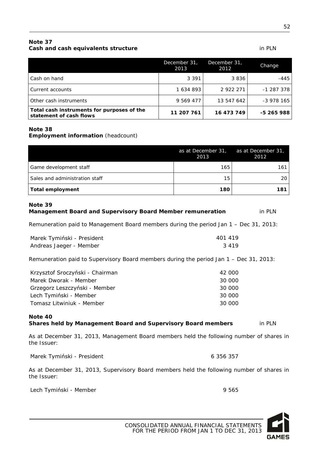### **Note 37 Cash and cash equivalents structure** in PLN

|                                                                       | December 31,<br>2013 | December 31,<br>2012 | Change     |
|-----------------------------------------------------------------------|----------------------|----------------------|------------|
| Cash on hand                                                          | 3 3 9 1              | 3836                 | -445       |
| Current accounts                                                      | 1 634 893            | 2 922 271            | $-1287378$ |
| Other cash instruments                                                | 9 569 477            | 13 547 642           | -3 978 165 |
| Total cash instruments for purposes of the<br>statement of cash flows | 11 207 761           | 16 473 749           | -5 265 988 |

#### **Note 38**

#### **Employment information** (headcount)

|                                | as at December 31, as at December 31,<br>2013 | 2012  |
|--------------------------------|-----------------------------------------------|-------|
| Game development staff         | 165                                           | 161 l |
| Sales and administration staff | 15                                            | 20 I  |
| Total employment               | 180                                           | 181   |

## **Note 39 Management Board and Supervisory Board Member remuneration** in PLN

Remuneration paid to Management Board members during the period Jan 1 – Dec 31, 2013:

| Marek Tymiński - President | 401 419 |
|----------------------------|---------|
| Andreas Jaeger - Member    | 3419    |

Remuneration paid to Supervisory Board members during the period Jan 1 – Dec 31, 2013:

| Krzysztof Sroczyński - Chairman | 42 000 |
|---------------------------------|--------|
| Marek Dworak - Member           | 30 000 |
| Grzegorz Leszczyński - Member   | 30 000 |
| Lech Tymiński - Member          | 30 000 |
| Tomasz Litwiniuk - Member       | 30 000 |

#### **Note 40 Shares held by Management Board and Supervisory Board members** in PLN

As at December 31, 2013, Management Board members held the following number of shares in the Issuer:

Marek Tymiński - President **6 356 357** 

As at December 31, 2013, Supervisory Board members held the following number of shares in the Issuer:

Lech Tymiński - Member 9 565

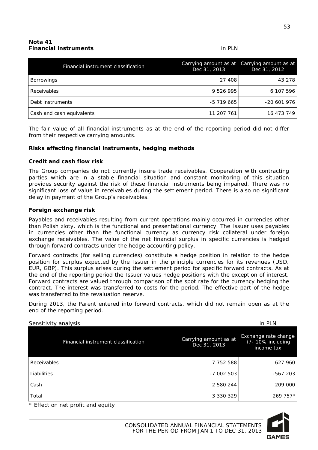#### **Nota 41 Financial instruments** in PLN

| Financial instrument classification | Dec 31, 2013 | Carrying amount as at Carrying amount as at<br>Dec 31, 2012 |
|-------------------------------------|--------------|-------------------------------------------------------------|
| <b>Borrowings</b>                   | 27 408       | 43 278                                                      |
| <b>Receivables</b>                  | 9 526 995    | 6 107 596                                                   |
| Debt instruments                    | -5 719 665   | $-20601976$                                                 |
| Cash and cash equivalents           | 11 207 761   | 16 473 749                                                  |

The fair value of all financial instruments as at the end of the reporting period did not differ from their respective carrying amounts.

#### **Risks affecting financial instruments, hedging methods**

#### **Credit and cash flow risk**

The Group companies do not currently insure trade receivables. Cooperation with contracting parties which are in a stable financial situation and constant monitoring of this situation provides security against the risk of these financial instruments being impaired. There was no significant loss of value in receivables during the settlement period. There is also no significant delay in payment of the Group's receivables.

#### **Foreign exchange risk**

Payables and receivables resulting from current operations mainly occurred in currencies other than Polish zloty, which is the functional and presentational currency. The Issuer uses payables in currencies other than the functional currency as currency risk collateral under foreign exchange receivables. The value of the net financial surplus in specific currencies is hedged through forward contracts under the hedge accounting policy.

Forward contracts (for selling currencies) constitute a hedge position in relation to the hedge position for surplus expected by the Issuer in the principle currencies for its revenues (USD, EUR, GBP). This surplus arises during the settlement period for specific forward contracts. As at the end of the reporting period the Issuer values hedge positions with the exception of interest. Forward contracts are valued through comparison of the spot rate for the currency hedging the contract. The interest was transferred to costs for the period. The effective part of the hedge was transferred to the revaluation reserve.

During 2013, the Parent entered into forward contracts, which did not remain open as at the end of the reporting period.

| Sensitivity analysis                |                                       | in PLN                                                     |
|-------------------------------------|---------------------------------------|------------------------------------------------------------|
| Financial instrument classification | Carrying amount as at<br>Dec 31, 2013 | Exchange rate change<br>$+/- 10\%$ including<br>income tax |
| Receivables                         | 7 752 588                             | 627 960                                                    |
| Liabilities                         | $-7002503$                            | $-567203$                                                  |
| Cash                                | 2 580 244                             | 209 000                                                    |
| Total                               | 3 330 329                             | 269 757*                                                   |

\* Effect on net profit and equity

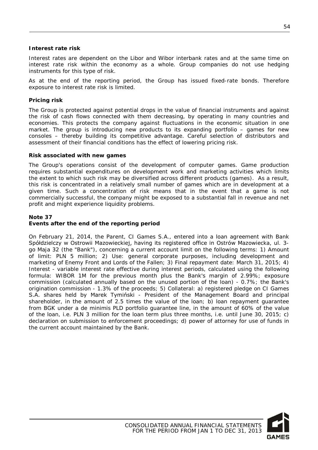#### **Interest rate risk**

Interest rates are dependent on the Libor and Wibor interbank rates and at the same time on interest rate risk within the economy as a whole. Group companies do not use hedging instruments for this type of risk.

As at the end of the reporting period, the Group has issued fixed-rate bonds. Therefore exposure to interest rate risk is limited.

#### **Pricing risk**

The Group is protected against potential drops in the value of financial instruments and against the risk of cash flows connected with them decreasing, by operating in many countries and economies. This protects the company against fluctuations in the economic situation in one market. The group is introducing new products to its expanding portfolio – games for new consoles – thereby building its competitive advantage. Careful selection of distributors and assessment of their financial conditions has the effect of lowering pricing risk.

#### **Risk associated with new games**

The Group's operations consist of the development of computer games. Game production requires substantial expenditures on development work and marketing activities which limits the extent to which such risk may be diversified across different products (games). As a result, this risk is concentrated in a relatively small number of games which are in development at a given time. Such a concentration of risk means that in the event that a game is not commercially successful, the company might be exposed to a substantial fall in revenue and net profit and might experience liquidity problems.

#### **Note 37**

#### **Events after the end of the reporting period**

On February 21, 2014, the Parent, CI Games S.A., entered into a loan agreement with Bank Spółdzielczy w Ostrowii Mazowieckiej, having its registered office in Ostrów Mazowiecka, ul. 3 go Maja 32 (the "Bank"), concerning a current account limit on the following terms: 1) Amount of limit: PLN 5 million; 2) Use: general corporate purposes, including development and marketing of Enemy Front and Lords of the Fallen; 3) Final repayment date: March 31, 2015; 4) Interest - variable interest rate effective during interest periods, calculated using the following formula: WIBOR 1M for the previous month plus the Bank's margin of 2.99%; exposure commission (calculated annually based on the unused portion of the loan) - 0.7%; the Bank's origination commission - 1.3% of the proceeds; 5) Collateral: a) registered pledge on CI Games S.A. shares held by Marek Tymiński - President of the Management Board and principal shareholder, in the amount of 2.5 times the value of the loan; b) loan repayment guarantee from BGK under a de minimis PLD portfolio guarantee line, in the amount of 60% of the value of the loan, i.e. PLN 3 million for the loan term plus three months, i.e. until June 30, 2015; c) declaration on submission to enforcement proceedings; d) power of attorney for use of funds in the current account maintained by the Bank.